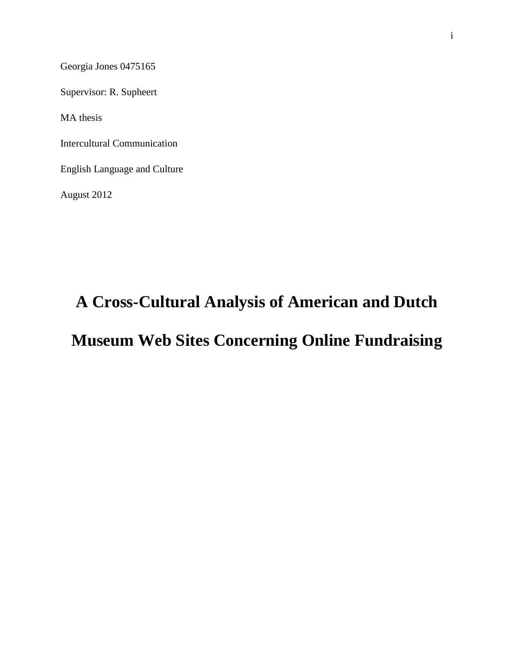Georgia Jones 0475165

Supervisor: R. Supheert

MA thesis

Intercultural Communication

English Language and Culture

August 2012

# **A Cross-Cultural Analysis of American and Dutch**

# **Museum Web Sites Concerning Online Fundraising**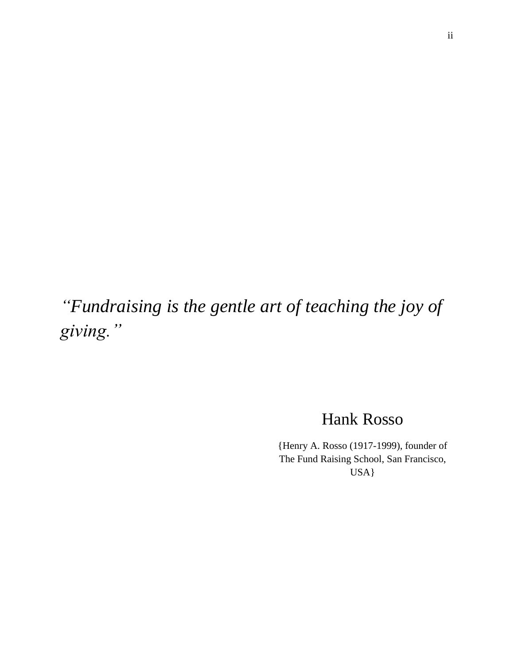*"Fundraising is the gentle art of teaching the joy of giving."*

Hank Rosso

{Henry A. Rosso (1917-1999), founder of The Fund Raising School, San Francisco, USA}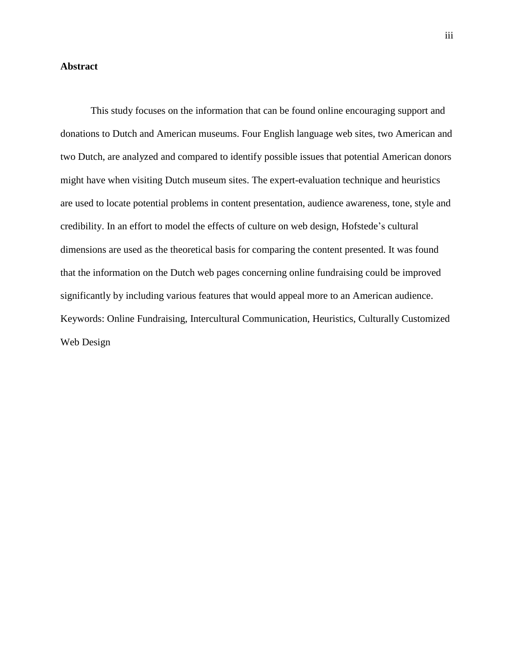# <span id="page-2-0"></span>**Abstract**

This study focuses on the information that can be found online encouraging support and donations to Dutch and American museums. Four English language web sites, two American and two Dutch, are analyzed and compared to identify possible issues that potential American donors might have when visiting Dutch museum sites. The expert-evaluation technique and heuristics are used to locate potential problems in content presentation, audience awareness, tone, style and credibility. In an effort to model the effects of culture on web design, Hofstede's cultural dimensions are used as the theoretical basis for comparing the content presented. It was found that the information on the Dutch web pages concerning online fundraising could be improved significantly by including various features that would appeal more to an American audience. Keywords: Online Fundraising, Intercultural Communication, Heuristics, Culturally Customized Web Design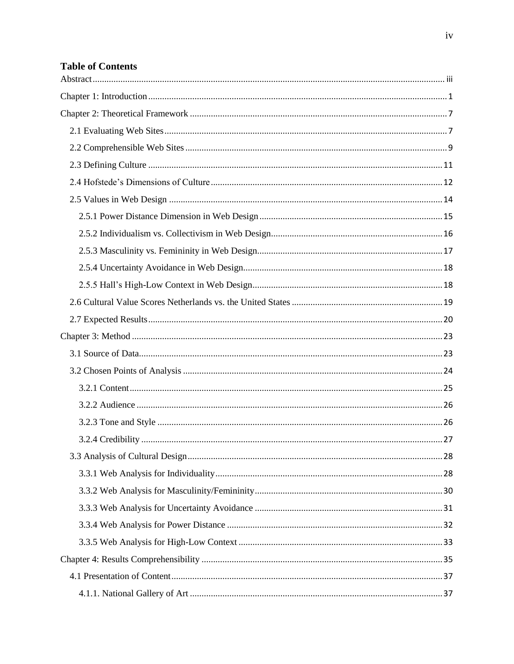# **Table of Contents**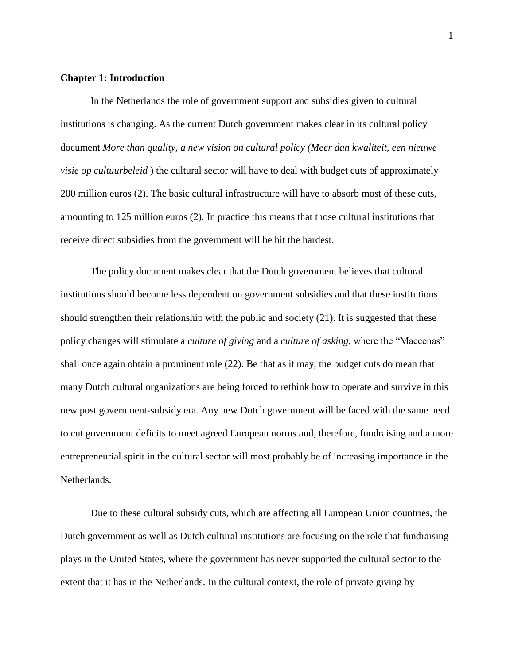#### <span id="page-5-0"></span>**Chapter 1: Introduction**

In the Netherlands the role of government support and subsidies given to cultural institutions is changing. As the current Dutch government makes clear in its cultural policy document *More than quality, a new vision on cultural policy (Meer dan kwaliteit, een nieuwe visie op cultuurbeleid* ) the cultural sector will have to deal with budget cuts of approximately 200 million euros (2). The basic cultural infrastructure will have to absorb most of these cuts, amounting to 125 million euros (2). In practice this means that those cultural institutions that receive direct subsidies from the government will be hit the hardest.

The policy document makes clear that the Dutch government believes that cultural institutions should become less dependent on government subsidies and that these institutions should strengthen their relationship with the public and society (21). It is suggested that these policy changes will stimulate a *culture of giving* and a *culture of asking,* where the "Maecenas" shall once again obtain a prominent role (22). Be that as it may, the budget cuts do mean that many Dutch cultural organizations are being forced to rethink how to operate and survive in this new post government-subsidy era. Any new Dutch government will be faced with the same need to cut government deficits to meet agreed European norms and, therefore, fundraising and a more entrepreneurial spirit in the cultural sector will most probably be of increasing importance in the Netherlands.

Due to these cultural subsidy cuts, which are affecting all European Union countries, the Dutch government as well as Dutch cultural institutions are focusing on the role that fundraising plays in the United States, where the government has never supported the cultural sector to the extent that it has in the Netherlands. In the cultural context, the role of private giving by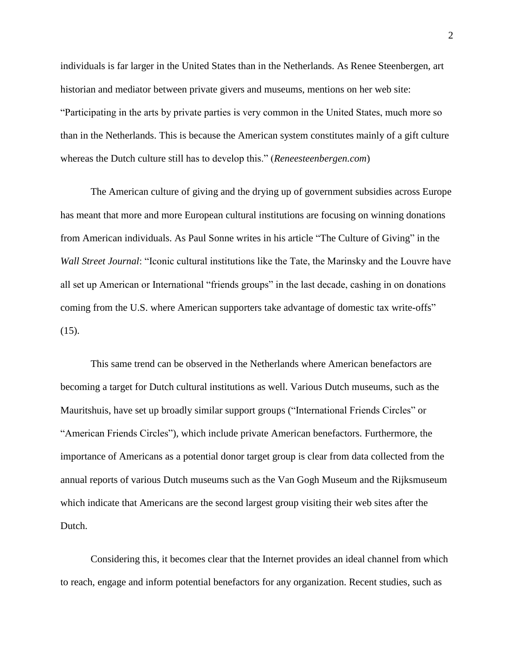individuals is far larger in the United States than in the Netherlands. As Renee Steenbergen, art historian and mediator between private givers and museums, mentions on her web site: "Participating in the arts by private parties is very common in the United States, much more so than in the Netherlands. This is because the American system constitutes mainly of a gift culture whereas the Dutch culture still has to develop this." (*Reneesteenbergen.com*)

The American culture of giving and the drying up of government subsidies across Europe has meant that more and more European cultural institutions are focusing on winning donations from American individuals. As Paul Sonne writes in his article "The Culture of Giving" in the *Wall Street Journal*: "Iconic cultural institutions like the Tate, the Marinsky and the Louvre have all set up American or International "friends groups" in the last decade, cashing in on donations coming from the U.S. where American supporters take advantage of domestic tax write-offs"  $(15)$ .

This same trend can be observed in the Netherlands where American benefactors are becoming a target for Dutch cultural institutions as well. Various Dutch museums, such as the Mauritshuis, have set up broadly similar support groups ("International Friends Circles" or "American Friends Circles"), which include private American benefactors. Furthermore, the importance of Americans as a potential donor target group is clear from data collected from the annual reports of various Dutch museums such as the Van Gogh Museum and the Rijksmuseum which indicate that Americans are the second largest group visiting their web sites after the Dutch.

Considering this, it becomes clear that the Internet provides an ideal channel from which to reach, engage and inform potential benefactors for any organization. Recent studies, such as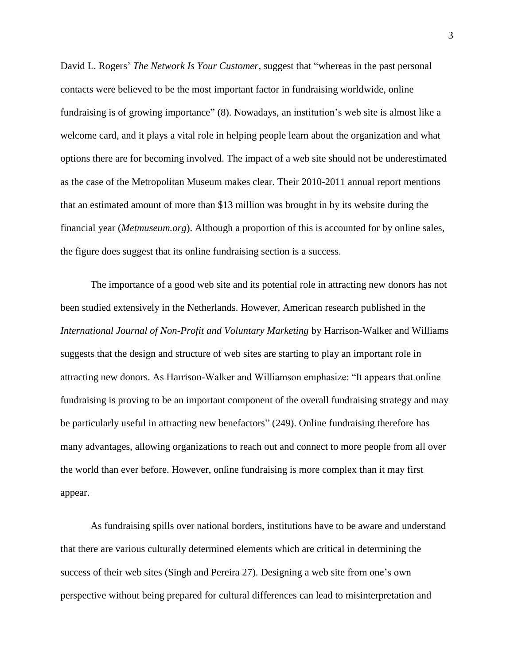David L. Rogers' *The Network Is Your Customer*, suggest that "whereas in the past personal contacts were believed to be the most important factor in fundraising worldwide, online fundraising is of growing importance" (8). Nowadays, an institution's web site is almost like a welcome card, and it plays a vital role in helping people learn about the organization and what options there are for becoming involved. The impact of a web site should not be underestimated as the case of the Metropolitan Museum makes clear. Their 2010-2011 annual report mentions that an estimated amount of more than \$13 million was brought in by its website during the financial year (*Metmuseum.org*). Although a proportion of this is accounted for by online sales, the figure does suggest that its online fundraising section is a success.

The importance of a good web site and its potential role in attracting new donors has not been studied extensively in the Netherlands. However, American research published in the *International Journal of Non-Profit and Voluntary Marketing* by Harrison-Walker and Williams suggests that the design and structure of web sites are starting to play an important role in attracting new donors. As Harrison-Walker and Williamson emphasize: "It appears that online fundraising is proving to be an important component of the overall fundraising strategy and may be particularly useful in attracting new benefactors" (249). Online fundraising therefore has many advantages, allowing organizations to reach out and connect to more people from all over the world than ever before. However, online fundraising is more complex than it may first appear.

As fundraising spills over national borders, institutions have to be aware and understand that there are various culturally determined elements which are critical in determining the success of their web sites (Singh and Pereira 27). Designing a web site from one's own perspective without being prepared for cultural differences can lead to misinterpretation and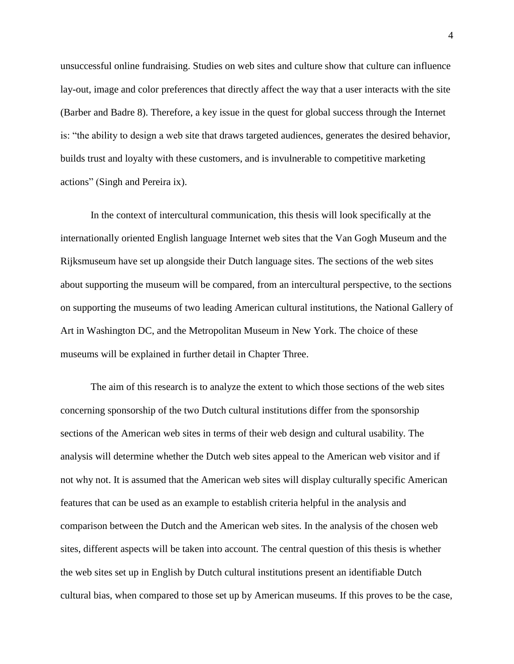unsuccessful online fundraising. Studies on web sites and culture show that culture can influence lay-out, image and color preferences that directly affect the way that a user interacts with the site (Barber and Badre 8). Therefore, a key issue in the quest for global success through the Internet is: "the ability to design a web site that draws targeted audiences, generates the desired behavior, builds trust and loyalty with these customers, and is invulnerable to competitive marketing actions" (Singh and Pereira ix).

In the context of intercultural communication, this thesis will look specifically at the internationally oriented English language Internet web sites that the Van Gogh Museum and the Rijksmuseum have set up alongside their Dutch language sites. The sections of the web sites about supporting the museum will be compared, from an intercultural perspective, to the sections on supporting the museums of two leading American cultural institutions, the National Gallery of Art in Washington DC, and the Metropolitan Museum in New York. The choice of these museums will be explained in further detail in Chapter Three.

The aim of this research is to analyze the extent to which those sections of the web sites concerning sponsorship of the two Dutch cultural institutions differ from the sponsorship sections of the American web sites in terms of their web design and cultural usability. The analysis will determine whether the Dutch web sites appeal to the American web visitor and if not why not. It is assumed that the American web sites will display culturally specific American features that can be used as an example to establish criteria helpful in the analysis and comparison between the Dutch and the American web sites. In the analysis of the chosen web sites, different aspects will be taken into account. The central question of this thesis is whether the web sites set up in English by Dutch cultural institutions present an identifiable Dutch cultural bias, when compared to those set up by American museums. If this proves to be the case,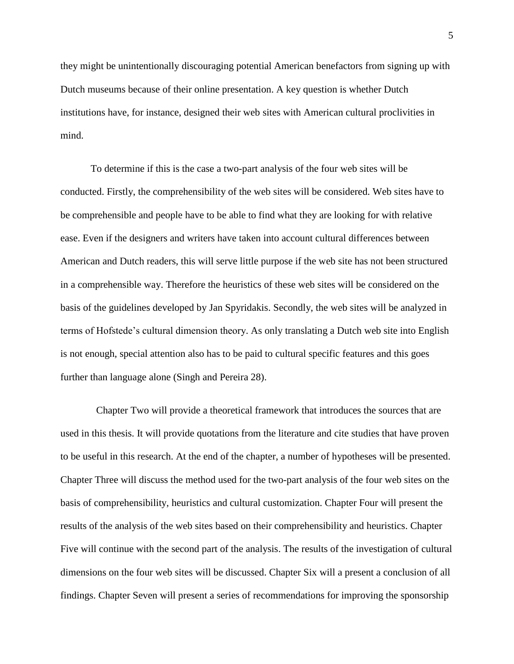they might be unintentionally discouraging potential American benefactors from signing up with Dutch museums because of their online presentation. A key question is whether Dutch institutions have, for instance, designed their web sites with American cultural proclivities in mind.

To determine if this is the case a two-part analysis of the four web sites will be conducted. Firstly, the comprehensibility of the web sites will be considered. Web sites have to be comprehensible and people have to be able to find what they are looking for with relative ease. Even if the designers and writers have taken into account cultural differences between American and Dutch readers, this will serve little purpose if the web site has not been structured in a comprehensible way. Therefore the heuristics of these web sites will be considered on the basis of the guidelines developed by Jan Spyridakis. Secondly, the web sites will be analyzed in terms of Hofstede's cultural dimension theory. As only translating a Dutch web site into English is not enough, special attention also has to be paid to cultural specific features and this goes further than language alone (Singh and Pereira 28).

Chapter Two will provide a theoretical framework that introduces the sources that are used in this thesis. It will provide quotations from the literature and cite studies that have proven to be useful in this research. At the end of the chapter, a number of hypotheses will be presented. Chapter Three will discuss the method used for the two-part analysis of the four web sites on the basis of comprehensibility, heuristics and cultural customization. Chapter Four will present the results of the analysis of the web sites based on their comprehensibility and heuristics. Chapter Five will continue with the second part of the analysis. The results of the investigation of cultural dimensions on the four web sites will be discussed. Chapter Six will a present a conclusion of all findings. Chapter Seven will present a series of recommendations for improving the sponsorship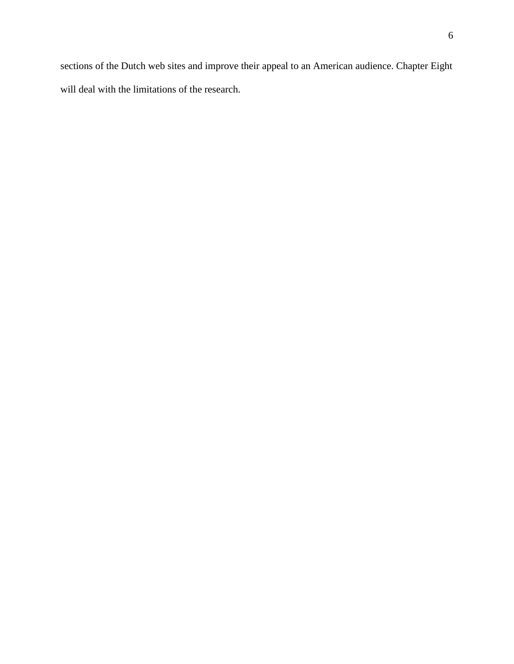sections of the Dutch web sites and improve their appeal to an American audience. Chapter Eight will deal with the limitations of the research.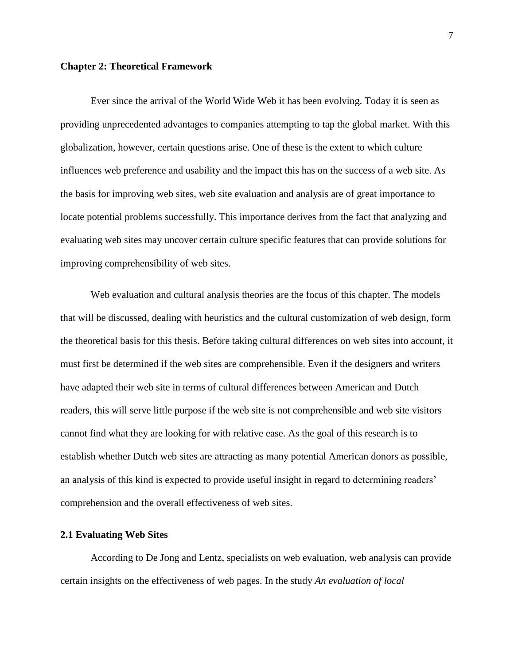#### <span id="page-11-0"></span>**Chapter 2: Theoretical Framework**

Ever since the arrival of the World Wide Web it has been evolving. Today it is seen as providing unprecedented advantages to companies attempting to tap the global market. With this globalization, however, certain questions arise. One of these is the extent to which culture influences web preference and usability and the impact this has on the success of a web site. As the basis for improving web sites, web site evaluation and analysis are of great importance to locate potential problems successfully. This importance derives from the fact that analyzing and evaluating web sites may uncover certain culture specific features that can provide solutions for improving comprehensibility of web sites.

Web evaluation and cultural analysis theories are the focus of this chapter. The models that will be discussed, dealing with heuristics and the cultural customization of web design, form the theoretical basis for this thesis. Before taking cultural differences on web sites into account, it must first be determined if the web sites are comprehensible. Even if the designers and writers have adapted their web site in terms of cultural differences between American and Dutch readers, this will serve little purpose if the web site is not comprehensible and web site visitors cannot find what they are looking for with relative ease. As the goal of this research is to establish whether Dutch web sites are attracting as many potential American donors as possible, an analysis of this kind is expected to provide useful insight in regard to determining readers' comprehension and the overall effectiveness of web sites.

#### <span id="page-11-1"></span>**2.1 Evaluating Web Sites**

According to De Jong and Lentz, specialists on web evaluation, web analysis can provide certain insights on the effectiveness of web pages. In the study *An evaluation of local*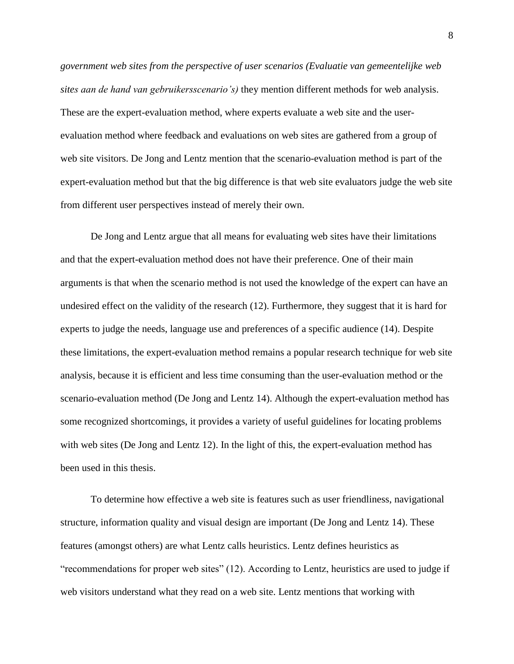*government web sites from the perspective of user scenarios (Evaluatie van gemeentelijke web sites aan de hand van gebruikersscenario's)* they mention different methods for web analysis. These are the expert-evaluation method, where experts evaluate a web site and the userevaluation method where feedback and evaluations on web sites are gathered from a group of web site visitors. De Jong and Lentz mention that the scenario-evaluation method is part of the expert-evaluation method but that the big difference is that web site evaluators judge the web site from different user perspectives instead of merely their own.

De Jong and Lentz argue that all means for evaluating web sites have their limitations and that the expert-evaluation method does not have their preference. One of their main arguments is that when the scenario method is not used the knowledge of the expert can have an undesired effect on the validity of the research (12). Furthermore, they suggest that it is hard for experts to judge the needs, language use and preferences of a specific audience (14). Despite these limitations, the expert-evaluation method remains a popular research technique for web site analysis, because it is efficient and less time consuming than the user-evaluation method or the scenario-evaluation method (De Jong and Lentz 14). Although the expert-evaluation method has some recognized shortcomings, it provides a variety of useful guidelines for locating problems with web sites (De Jong and Lentz 12). In the light of this, the expert-evaluation method has been used in this thesis.

To determine how effective a web site is features such as user friendliness, navigational structure, information quality and visual design are important (De Jong and Lentz 14). These features (amongst others) are what Lentz calls heuristics. Lentz defines heuristics as "recommendations for proper web sites" (12). According to Lentz, heuristics are used to judge if web visitors understand what they read on a web site. Lentz mentions that working with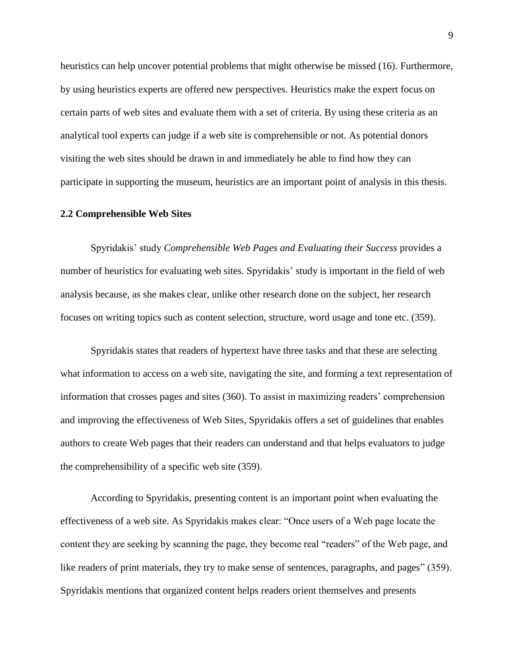heuristics can help uncover potential problems that might otherwise be missed (16). Furthermore, by using heuristics experts are offered new perspectives. Heuristics make the expert focus on certain parts of web sites and evaluate them with a set of criteria. By using these criteria as an analytical tool experts can judge if a web site is comprehensible or not. As potential donors visiting the web sites should be drawn in and immediately be able to find how they can participate in supporting the museum, heuristics are an important point of analysis in this thesis.

#### <span id="page-13-0"></span>**2.2 Comprehensible Web Sites**

Spyridakis' study *Comprehensible Web Pages and Evaluating their Success* provides a number of heuristics for evaluating web sites. Spyridakis' study is important in the field of web analysis because, as she makes clear, unlike other research done on the subject, her research focuses on writing topics such as content selection, structure, word usage and tone etc. (359).

Spyridakis states that readers of hypertext have three tasks and that these are selecting what information to access on a web site, navigating the site, and forming a text representation of information that crosses pages and sites (360). To assist in maximizing readers' comprehension and improving the effectiveness of Web Sites, Spyridakis offers a set of guidelines that enables authors to create Web pages that their readers can understand and that helps evaluators to judge the comprehensibility of a specific web site (359).

According to Spyridakis, presenting content is an important point when evaluating the effectiveness of a web site. As Spyridakis makes clear: "Once users of a Web page locate the content they are seeking by scanning the page, they become real "readers" of the Web page, and like readers of print materials, they try to make sense of sentences, paragraphs, and pages" (359). Spyridakis mentions that organized content helps readers orient themselves and presents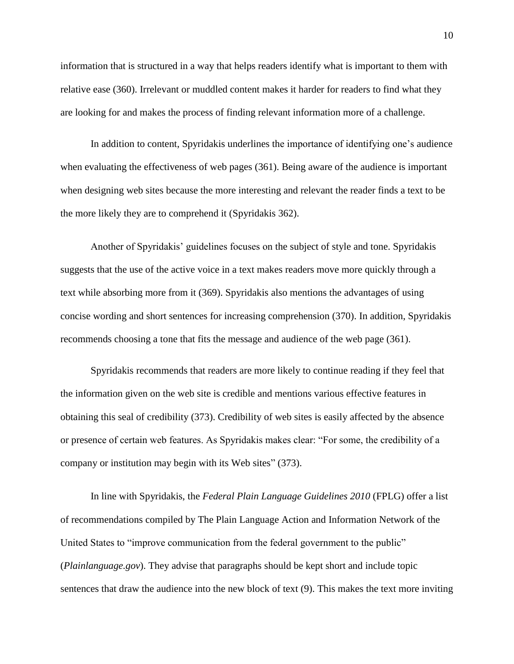information that is structured in a way that helps readers identify what is important to them with relative ease (360). Irrelevant or muddled content makes it harder for readers to find what they are looking for and makes the process of finding relevant information more of a challenge.

In addition to content, Spyridakis underlines the importance of identifying one's audience when evaluating the effectiveness of web pages (361). Being aware of the audience is important when designing web sites because the more interesting and relevant the reader finds a text to be the more likely they are to comprehend it (Spyridakis 362).

Another of Spyridakis' guidelines focuses on the subject of style and tone. Spyridakis suggests that the use of the active voice in a text makes readers move more quickly through a text while absorbing more from it (369). Spyridakis also mentions the advantages of using concise wording and short sentences for increasing comprehension (370). In addition, Spyridakis recommends choosing a tone that fits the message and audience of the web page (361).

Spyridakis recommends that readers are more likely to continue reading if they feel that the information given on the web site is credible and mentions various effective features in obtaining this seal of credibility (373). Credibility of web sites is easily affected by the absence or presence of certain web features. As Spyridakis makes clear: "For some, the credibility of a company or institution may begin with its Web sites" (373).

In line with Spyridakis, the *Federal Plain Language Guidelines 2010* (FPLG) offer a list of recommendations compiled by The Plain Language Action and Information Network of the United States to "improve communication from the federal government to the public" (*Plainlanguage.gov*). They advise that paragraphs should be kept short and include topic sentences that draw the audience into the new block of text (9). This makes the text more inviting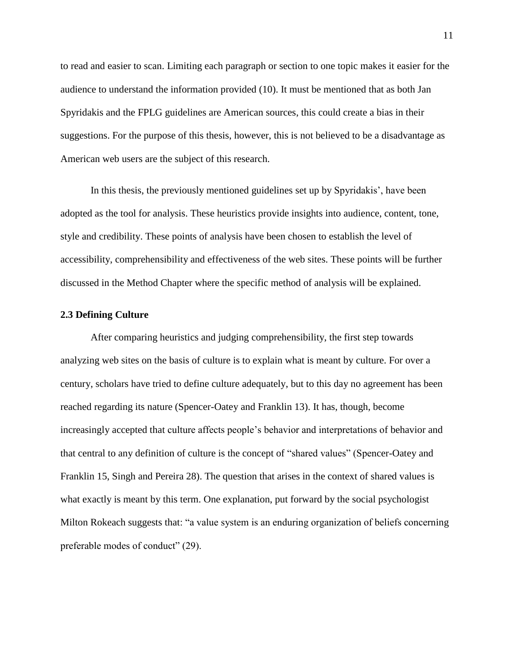to read and easier to scan. Limiting each paragraph or section to one topic makes it easier for the audience to understand the information provided (10). It must be mentioned that as both Jan Spyridakis and the FPLG guidelines are American sources, this could create a bias in their suggestions. For the purpose of this thesis, however, this is not believed to be a disadvantage as American web users are the subject of this research.

In this thesis, the previously mentioned guidelines set up by Spyridakis', have been adopted as the tool for analysis. These heuristics provide insights into audience, content, tone, style and credibility. These points of analysis have been chosen to establish the level of accessibility, comprehensibility and effectiveness of the web sites. These points will be further discussed in the Method Chapter where the specific method of analysis will be explained.

#### <span id="page-15-0"></span>**2.3 Defining Culture**

After comparing heuristics and judging comprehensibility, the first step towards analyzing web sites on the basis of culture is to explain what is meant by culture. For over a century, scholars have tried to define culture adequately, but to this day no agreement has been reached regarding its nature (Spencer-Oatey and Franklin 13). It has, though, become increasingly accepted that culture affects people's behavior and interpretations of behavior and that central to any definition of culture is the concept of "shared values" (Spencer-Oatey and Franklin 15, Singh and Pereira 28). The question that arises in the context of shared values is what exactly is meant by this term. One explanation, put forward by the social psychologist Milton Rokeach suggests that: "a value system is an enduring organization of beliefs concerning preferable modes of conduct" (29).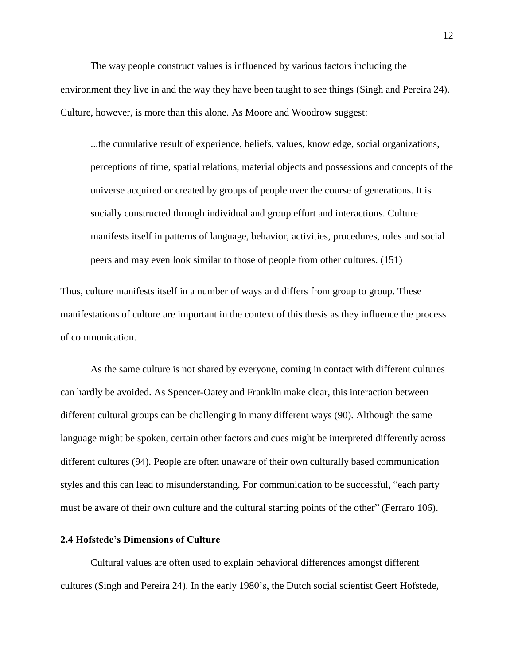The way people construct values is influenced by various factors including the environment they live in and the way they have been taught to see things (Singh and Pereira 24). Culture, however, is more than this alone. As Moore and Woodrow suggest:

...the cumulative result of experience, beliefs, values, knowledge, social organizations, perceptions of time, spatial relations, material objects and possessions and concepts of the universe acquired or created by groups of people over the course of generations. It is socially constructed through individual and group effort and interactions. Culture manifests itself in patterns of language, behavior, activities, procedures, roles and social peers and may even look similar to those of people from other cultures. (151)

Thus, culture manifests itself in a number of ways and differs from group to group. These manifestations of culture are important in the context of this thesis as they influence the process of communication.

As the same culture is not shared by everyone, coming in contact with different cultures can hardly be avoided. As Spencer-Oatey and Franklin make clear, this interaction between different cultural groups can be challenging in many different ways (90). Although the same language might be spoken, certain other factors and cues might be interpreted differently across different cultures (94). People are often unaware of their own culturally based communication styles and this can lead to misunderstanding. For communication to be successful, "each party must be aware of their own culture and the cultural starting points of the other" (Ferraro 106).

## <span id="page-16-0"></span>**2.4 Hofstede's Dimensions of Culture**

Cultural values are often used to explain behavioral differences amongst different cultures (Singh and Pereira 24). In the early 1980's, the Dutch social scientist Geert Hofstede,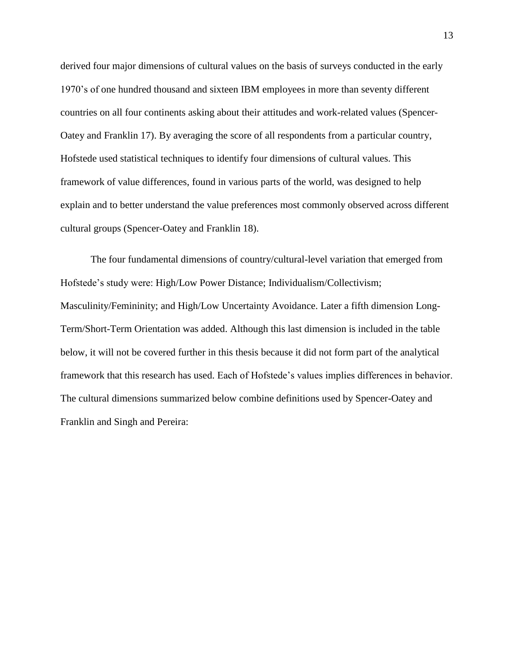derived four major dimensions of cultural values on the basis of surveys conducted in the early 1970's of one hundred thousand and sixteen IBM employees in more than seventy different countries on all four continents asking about their attitudes and work-related values (Spencer-Oatey and Franklin 17). By averaging the score of all respondents from a particular country, Hofstede used statistical techniques to identify four dimensions of cultural values. This framework of value differences, found in various parts of the world, was designed to help explain and to better understand the value preferences most commonly observed across different cultural groups (Spencer-Oatey and Franklin 18).

The four fundamental dimensions of country/cultural-level variation that emerged from Hofstede's study were: High/Low Power Distance; Individualism/Collectivism; Masculinity/Femininity; and High/Low Uncertainty Avoidance. Later a fifth dimension Long-Term/Short-Term Orientation was added. Although this last dimension is included in the table below, it will not be covered further in this thesis because it did not form part of the analytical framework that this research has used. Each of Hofstede's values implies differences in behavior. The cultural dimensions summarized below combine definitions used by Spencer-Oatey and Franklin and Singh and Pereira: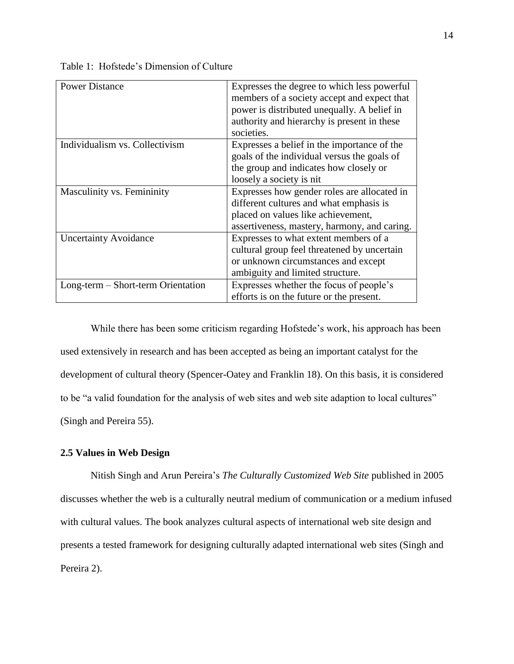| <b>Power Distance</b>              | Expresses the degree to which less powerful  |
|------------------------------------|----------------------------------------------|
|                                    | members of a society accept and expect that  |
|                                    | power is distributed unequally. A belief in  |
|                                    | authority and hierarchy is present in these  |
|                                    | societies.                                   |
| Individualism vs. Collectivism     | Expresses a belief in the importance of the  |
|                                    | goals of the individual versus the goals of  |
|                                    | the group and indicates how closely or       |
|                                    | loosely a society is nit                     |
| Masculinity vs. Femininity         | Expresses how gender roles are allocated in  |
|                                    | different cultures and what emphasis is      |
|                                    | placed on values like achievement,           |
|                                    | assertiveness, mastery, harmony, and caring. |
| <b>Uncertainty Avoidance</b>       | Expresses to what extent members of a        |
|                                    | cultural group feel threatened by uncertain  |
|                                    | or unknown circumstances and except          |
|                                    | ambiguity and limited structure.             |
| Long-term – Short-term Orientation | Expresses whether the focus of people's      |
|                                    | efforts is on the future or the present.     |
|                                    |                                              |

Table 1: Hofstede's Dimension of Culture

While there has been some criticism regarding Hofstede's work, his approach has been used extensively in research and has been accepted as being an important catalyst for the development of cultural theory (Spencer-Oatey and Franklin 18). On this basis, it is considered to be "a valid foundation for the analysis of web sites and web site adaption to local cultures" (Singh and Pereira 55).

#### <span id="page-18-0"></span>**2.5 Values in Web Design**

Nitish Singh and Arun Pereira's *The Culturally Customized Web Site* published in 2005 discusses whether the web is a culturally neutral medium of communication or a medium infused with cultural values. The book analyzes cultural aspects of international web site design and presents a tested framework for designing culturally adapted international web sites (Singh and Pereira 2).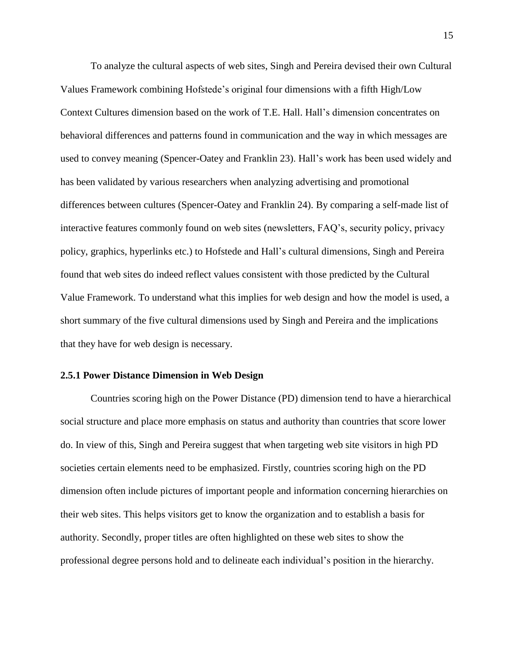To analyze the cultural aspects of web sites, Singh and Pereira devised their own Cultural Values Framework combining Hofstede's original four dimensions with a fifth High/Low Context Cultures dimension based on the work of T.E. Hall. Hall's dimension concentrates on behavioral differences and patterns found in communication and the way in which messages are used to convey meaning (Spencer-Oatey and Franklin 23). Hall's work has been used widely and has been validated by various researchers when analyzing advertising and promotional differences between cultures (Spencer-Oatey and Franklin 24). By comparing a self-made list of interactive features commonly found on web sites (newsletters, FAQ's, security policy, privacy policy, graphics, hyperlinks etc.) to Hofstede and Hall's cultural dimensions, Singh and Pereira found that web sites do indeed reflect values consistent with those predicted by the Cultural Value Framework. To understand what this implies for web design and how the model is used, a short summary of the five cultural dimensions used by Singh and Pereira and the implications that they have for web design is necessary.

#### <span id="page-19-0"></span>**2.5.1 Power Distance Dimension in Web Design**

Countries scoring high on the Power Distance (PD) dimension tend to have a hierarchical social structure and place more emphasis on status and authority than countries that score lower do. In view of this, Singh and Pereira suggest that when targeting web site visitors in high PD societies certain elements need to be emphasized. Firstly, countries scoring high on the PD dimension often include pictures of important people and information concerning hierarchies on their web sites. This helps visitors get to know the organization and to establish a basis for authority. Secondly, proper titles are often highlighted on these web sites to show the professional degree persons hold and to delineate each individual's position in the hierarchy.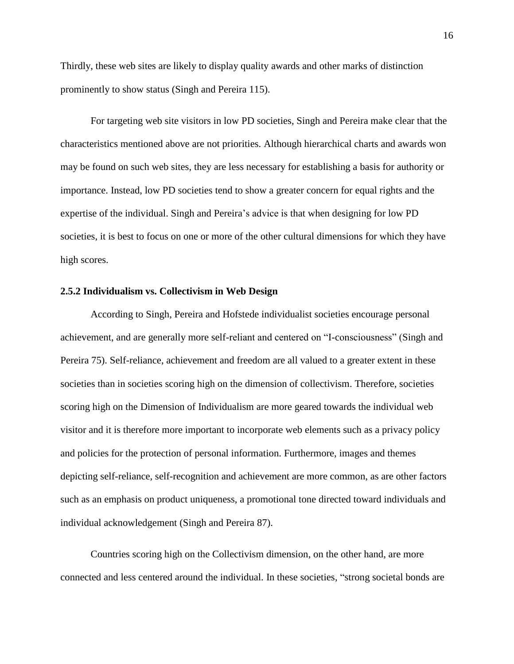Thirdly, these web sites are likely to display quality awards and other marks of distinction prominently to show status (Singh and Pereira 115).

For targeting web site visitors in low PD societies, Singh and Pereira make clear that the characteristics mentioned above are not priorities. Although hierarchical charts and awards won may be found on such web sites, they are less necessary for establishing a basis for authority or importance. Instead, low PD societies tend to show a greater concern for equal rights and the expertise of the individual. Singh and Pereira's advice is that when designing for low PD societies, it is best to focus on one or more of the other cultural dimensions for which they have high scores.

### <span id="page-20-0"></span>**2.5.2 Individualism vs. Collectivism in Web Design**

According to Singh, Pereira and Hofstede individualist societies encourage personal achievement, and are generally more self-reliant and centered on "I-consciousness" (Singh and Pereira 75). Self-reliance, achievement and freedom are all valued to a greater extent in these societies than in societies scoring high on the dimension of collectivism. Therefore, societies scoring high on the Dimension of Individualism are more geared towards the individual web visitor and it is therefore more important to incorporate web elements such as a privacy policy and policies for the protection of personal information. Furthermore, images and themes depicting self-reliance, self-recognition and achievement are more common, as are other factors such as an emphasis on product uniqueness, a promotional tone directed toward individuals and individual acknowledgement (Singh and Pereira 87).

Countries scoring high on the Collectivism dimension, on the other hand, are more connected and less centered around the individual. In these societies, "strong societal bonds are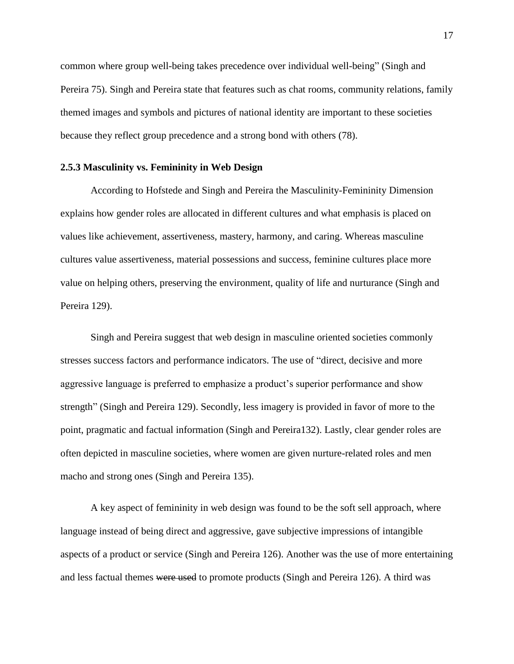common where group well-being takes precedence over individual well-being" (Singh and Pereira 75). Singh and Pereira state that features such as chat rooms, community relations, family themed images and symbols and pictures of national identity are important to these societies because they reflect group precedence and a strong bond with others (78).

#### <span id="page-21-0"></span>**2.5.3 Masculinity vs. Femininity in Web Design**

According to Hofstede and Singh and Pereira the Masculinity-Femininity Dimension explains how gender roles are allocated in different cultures and what emphasis is placed on values like achievement, assertiveness, mastery, harmony, and caring. Whereas masculine cultures value assertiveness, material possessions and success, feminine cultures place more value on helping others, preserving the environment, quality of life and nurturance (Singh and Pereira 129).

Singh and Pereira suggest that web design in masculine oriented societies commonly stresses success factors and performance indicators. The use of "direct, decisive and more aggressive language is preferred to emphasize a product's superior performance and show strength" (Singh and Pereira 129). Secondly, less imagery is provided in favor of more to the point, pragmatic and factual information (Singh and Pereira132). Lastly, clear gender roles are often depicted in masculine societies, where women are given nurture-related roles and men macho and strong ones (Singh and Pereira 135).

A key aspect of femininity in web design was found to be the soft sell approach, where language instead of being direct and aggressive, gave subjective impressions of intangible aspects of a product or service (Singh and Pereira 126). Another was the use of more entertaining and less factual themes were used to promote products (Singh and Pereira 126). A third was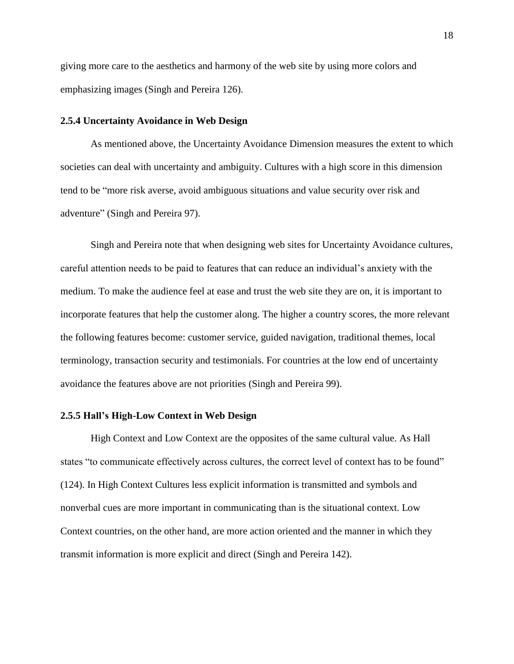giving more care to the aesthetics and harmony of the web site by using more colors and emphasizing images (Singh and Pereira 126).

#### <span id="page-22-0"></span>**2.5.4 Uncertainty Avoidance in Web Design**

As mentioned above, the Uncertainty Avoidance Dimension measures the extent to which societies can deal with uncertainty and ambiguity. Cultures with a high score in this dimension tend to be "more risk averse, avoid ambiguous situations and value security over risk and adventure" (Singh and Pereira 97).

Singh and Pereira note that when designing web sites for Uncertainty Avoidance cultures, careful attention needs to be paid to features that can reduce an individual's anxiety with the medium. To make the audience feel at ease and trust the web site they are on, it is important to incorporate features that help the customer along. The higher a country scores, the more relevant the following features become: customer service, guided navigation, traditional themes, local terminology, transaction security and testimonials. For countries at the low end of uncertainty avoidance the features above are not priorities (Singh and Pereira 99).

#### <span id="page-22-1"></span>**2.5.5 Hall's High-Low Context in Web Design**

High Context and Low Context are the opposites of the same cultural value. As Hall states "to communicate effectively across cultures, the correct level of context has to be found" (124). In High Context Cultures less explicit information is transmitted and symbols and nonverbal cues are more important in communicating than is the situational context. Low Context countries, on the other hand, are more action oriented and the manner in which they transmit information is more explicit and direct (Singh and Pereira 142).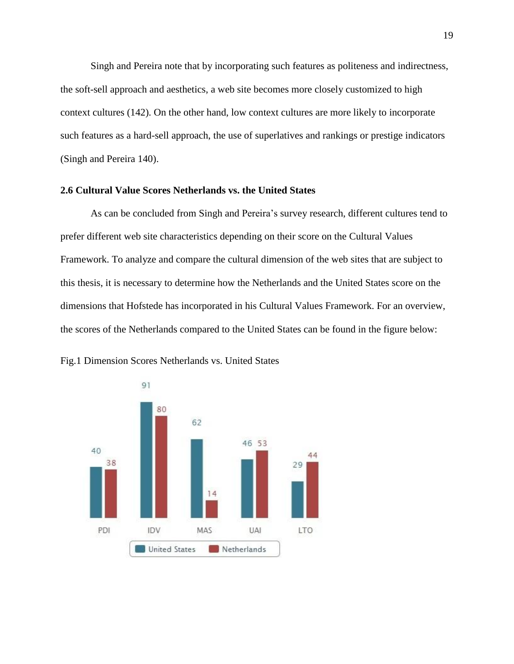Singh and Pereira note that by incorporating such features as politeness and indirectness, the soft-sell approach and aesthetics, a web site becomes more closely customized to high context cultures (142). On the other hand, low context cultures are more likely to incorporate such features as a hard-sell approach, the use of superlatives and rankings or prestige indicators (Singh and Pereira 140).

#### <span id="page-23-0"></span>**2.6 Cultural Value Scores Netherlands vs. the United States**

As can be concluded from Singh and Pereira's survey research, different cultures tend to prefer different web site characteristics depending on their score on the Cultural Values Framework. To analyze and compare the cultural dimension of the web sites that are subject to this thesis, it is necessary to determine how the Netherlands and the United States score on the dimensions that Hofstede has incorporated in his Cultural Values Framework. For an overview, the scores of the Netherlands compared to the United States can be found in the figure below:



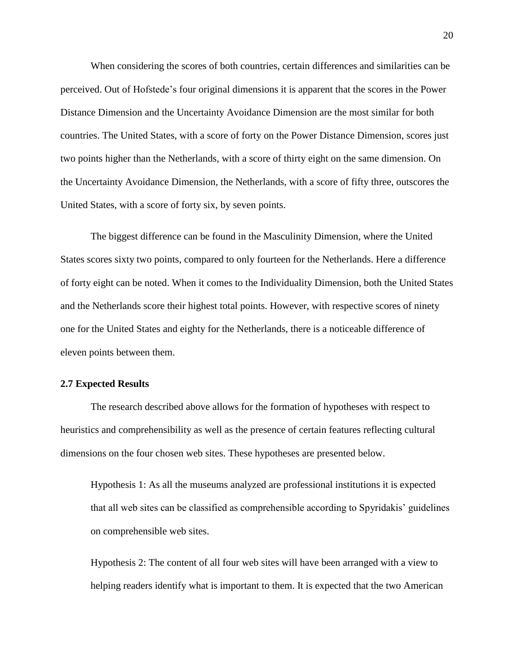When considering the scores of both countries, certain differences and similarities can be perceived. Out of Hofstede's four original dimensions it is apparent that the scores in the Power Distance Dimension and the Uncertainty Avoidance Dimension are the most similar for both countries. The United States, with a score of forty on the Power Distance Dimension, scores just two points higher than the Netherlands, with a score of thirty eight on the same dimension. On the Uncertainty Avoidance Dimension, the Netherlands, with a score of fifty three, outscores the United States, with a score of forty six, by seven points.

The biggest difference can be found in the Masculinity Dimension, where the United States scores sixty two points, compared to only fourteen for the Netherlands. Here a difference of forty eight can be noted. When it comes to the Individuality Dimension, both the United States and the Netherlands score their highest total points. However, with respective scores of ninety one for the United States and eighty for the Netherlands, there is a noticeable difference of eleven points between them.

#### <span id="page-24-0"></span>**2.7 Expected Results**

The research described above allows for the formation of hypotheses with respect to heuristics and comprehensibility as well as the presence of certain features reflecting cultural dimensions on the four chosen web sites. These hypotheses are presented below.

Hypothesis 1: As all the museums analyzed are professional institutions it is expected that all web sites can be classified as comprehensible according to Spyridakis' guidelines on comprehensible web sites.

Hypothesis 2: The content of all four web sites will have been arranged with a view to helping readers identify what is important to them. It is expected that the two American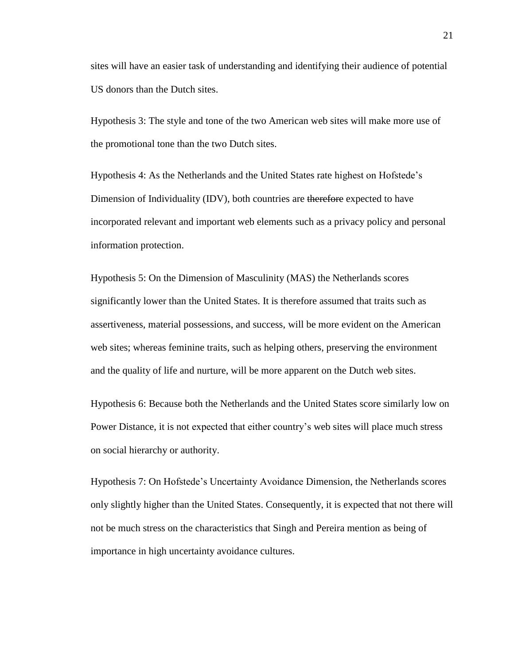sites will have an easier task of understanding and identifying their audience of potential US donors than the Dutch sites.

Hypothesis 3: The style and tone of the two American web sites will make more use of the promotional tone than the two Dutch sites.

Hypothesis 4: As the Netherlands and the United States rate highest on Hofstede's Dimension of Individuality (IDV), both countries are therefore expected to have incorporated relevant and important web elements such as a privacy policy and personal information protection.

Hypothesis 5: On the Dimension of Masculinity (MAS) the Netherlands scores significantly lower than the United States. It is therefore assumed that traits such as assertiveness, material possessions, and success, will be more evident on the American web sites; whereas feminine traits, such as helping others, preserving the environment and the quality of life and nurture, will be more apparent on the Dutch web sites.

Hypothesis 6: Because both the Netherlands and the United States score similarly low on Power Distance, it is not expected that either country's web sites will place much stress on social hierarchy or authority.

Hypothesis 7: On Hofstede's Uncertainty Avoidance Dimension, the Netherlands scores only slightly higher than the United States. Consequently, it is expected that not there will not be much stress on the characteristics that Singh and Pereira mention as being of importance in high uncertainty avoidance cultures.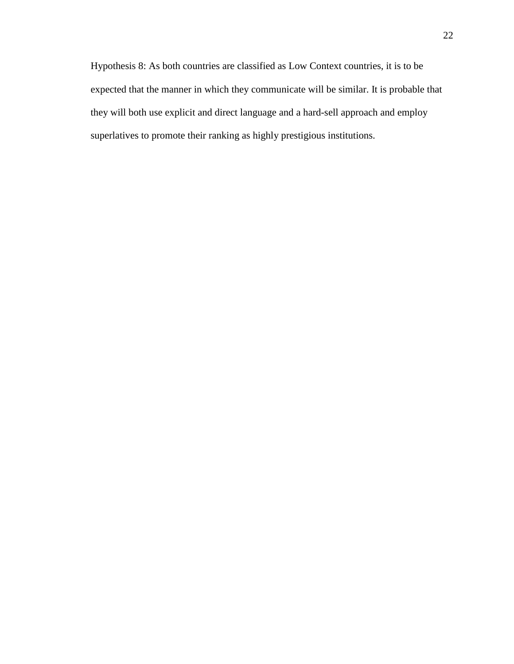Hypothesis 8: As both countries are classified as Low Context countries, it is to be expected that the manner in which they communicate will be similar. It is probable that they will both use explicit and direct language and a hard-sell approach and employ superlatives to promote their ranking as highly prestigious institutions.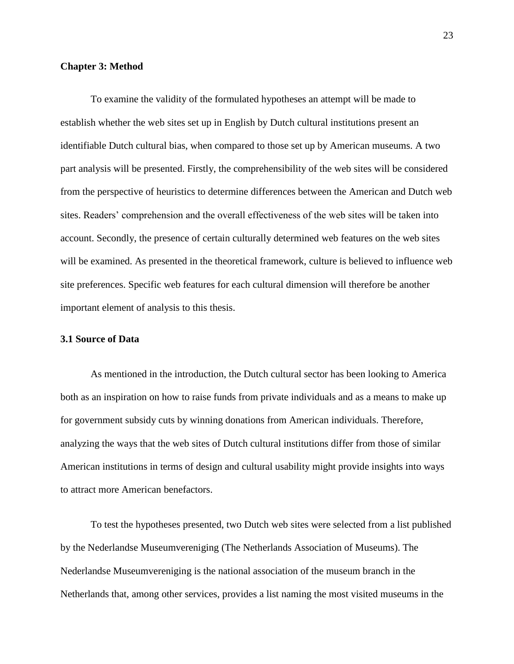#### <span id="page-27-0"></span>**Chapter 3: Method**

To examine the validity of the formulated hypotheses an attempt will be made to establish whether the web sites set up in English by Dutch cultural institutions present an identifiable Dutch cultural bias, when compared to those set up by American museums. A two part analysis will be presented. Firstly, the comprehensibility of the web sites will be considered from the perspective of heuristics to determine differences between the American and Dutch web sites. Readers' comprehension and the overall effectiveness of the web sites will be taken into account. Secondly, the presence of certain culturally determined web features on the web sites will be examined. As presented in the theoretical framework, culture is believed to influence web site preferences. Specific web features for each cultural dimension will therefore be another important element of analysis to this thesis.

#### <span id="page-27-1"></span>**3.1 Source of Data**

As mentioned in the introduction, the Dutch cultural sector has been looking to America both as an inspiration on how to raise funds from private individuals and as a means to make up for government subsidy cuts by winning donations from American individuals. Therefore, analyzing the ways that the web sites of Dutch cultural institutions differ from those of similar American institutions in terms of design and cultural usability might provide insights into ways to attract more American benefactors.

To test the hypotheses presented, two Dutch web sites were selected from a list published by the Nederlandse Museumvereniging (The Netherlands Association of Museums). The Nederlandse Museumvereniging is the national association of the museum branch in the Netherlands that, among other services, provides a list naming the most visited museums in the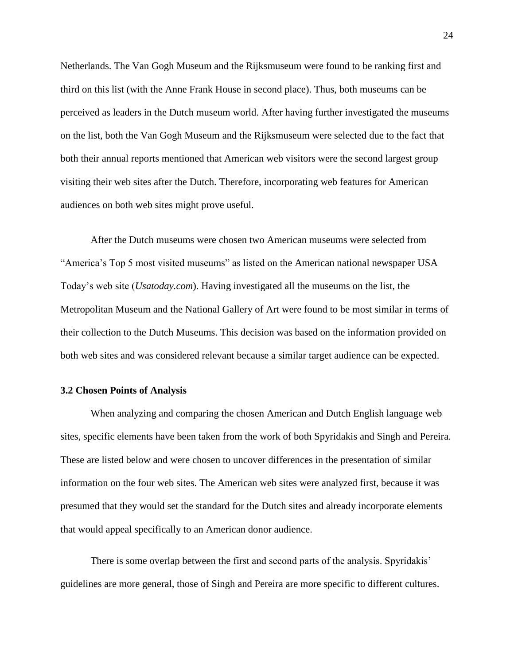Netherlands. The Van Gogh Museum and the Rijksmuseum were found to be ranking first and third on this list (with the Anne Frank House in second place). Thus, both museums can be perceived as leaders in the Dutch museum world. After having further investigated the museums on the list, both the Van Gogh Museum and the Rijksmuseum were selected due to the fact that both their annual reports mentioned that American web visitors were the second largest group visiting their web sites after the Dutch. Therefore, incorporating web features for American audiences on both web sites might prove useful.

After the Dutch museums were chosen two American museums were selected from "America's Top 5 most visited museums" as listed on the American national newspaper USA Today's web site (*Usatoday.com*). Having investigated all the museums on the list, the Metropolitan Museum and the National Gallery of Art were found to be most similar in terms of their collection to the Dutch Museums. This decision was based on the information provided on both web sites and was considered relevant because a similar target audience can be expected.

#### <span id="page-28-0"></span>**3.2 Chosen Points of Analysis**

When analyzing and comparing the chosen American and Dutch English language web sites, specific elements have been taken from the work of both Spyridakis and Singh and Pereira. These are listed below and were chosen to uncover differences in the presentation of similar information on the four web sites. The American web sites were analyzed first, because it was presumed that they would set the standard for the Dutch sites and already incorporate elements that would appeal specifically to an American donor audience.

There is some overlap between the first and second parts of the analysis. Spyridakis' guidelines are more general, those of Singh and Pereira are more specific to different cultures.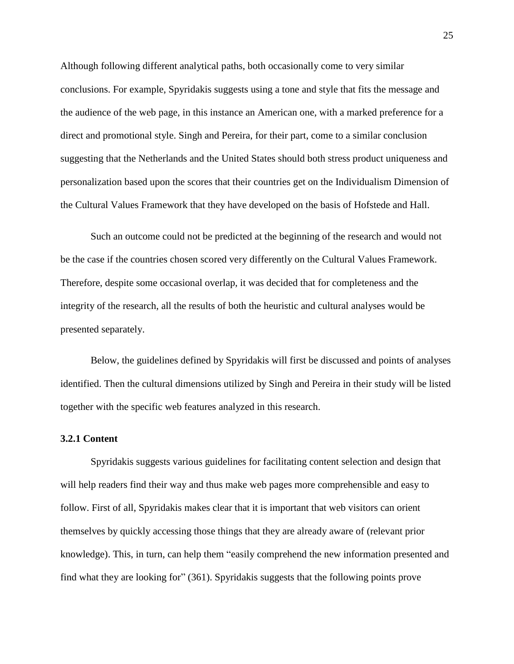Although following different analytical paths, both occasionally come to very similar conclusions. For example, Spyridakis suggests using a tone and style that fits the message and the audience of the web page, in this instance an American one, with a marked preference for a direct and promotional style. Singh and Pereira, for their part, come to a similar conclusion suggesting that the Netherlands and the United States should both stress product uniqueness and personalization based upon the scores that their countries get on the Individualism Dimension of the Cultural Values Framework that they have developed on the basis of Hofstede and Hall.

Such an outcome could not be predicted at the beginning of the research and would not be the case if the countries chosen scored very differently on the Cultural Values Framework. Therefore, despite some occasional overlap, it was decided that for completeness and the integrity of the research, all the results of both the heuristic and cultural analyses would be presented separately.

Below, the guidelines defined by Spyridakis will first be discussed and points of analyses identified. Then the cultural dimensions utilized by Singh and Pereira in their study will be listed together with the specific web features analyzed in this research.

#### <span id="page-29-0"></span>**3.2.1 Content**

Spyridakis suggests various guidelines for facilitating content selection and design that will help readers find their way and thus make web pages more comprehensible and easy to follow. First of all, Spyridakis makes clear that it is important that web visitors can orient themselves by quickly accessing those things that they are already aware of (relevant prior knowledge). This, in turn, can help them "easily comprehend the new information presented and find what they are looking for" (361). Spyridakis suggests that the following points prove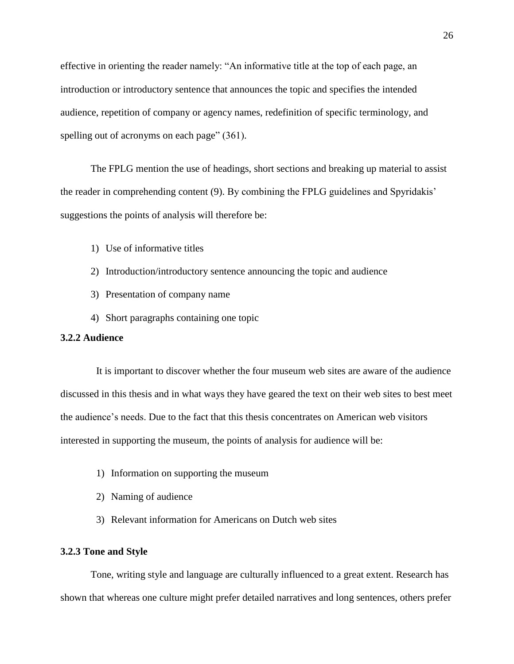effective in orienting the reader namely: "An informative title at the top of each page, an introduction or introductory sentence that announces the topic and specifies the intended audience, repetition of company or agency names, redefinition of specific terminology, and spelling out of acronyms on each page" (361).

The FPLG mention the use of headings, short sections and breaking up material to assist the reader in comprehending content (9). By combining the FPLG guidelines and Spyridakis' suggestions the points of analysis will therefore be:

- 1) Use of informative titles
- 2) Introduction/introductory sentence announcing the topic and audience
- 3) Presentation of company name
- 4) Short paragraphs containing one topic

### <span id="page-30-0"></span>**3.2.2 Audience**

It is important to discover whether the four museum web sites are aware of the audience discussed in this thesis and in what ways they have geared the text on their web sites to best meet the audience's needs. Due to the fact that this thesis concentrates on American web visitors interested in supporting the museum, the points of analysis for audience will be:

- 1) Information on supporting the museum
- 2) Naming of audience
- 3) Relevant information for Americans on Dutch web sites

#### <span id="page-30-1"></span>**3.2.3 Tone and Style**

Tone, writing style and language are culturally influenced to a great extent. Research has shown that whereas one culture might prefer detailed narratives and long sentences, others prefer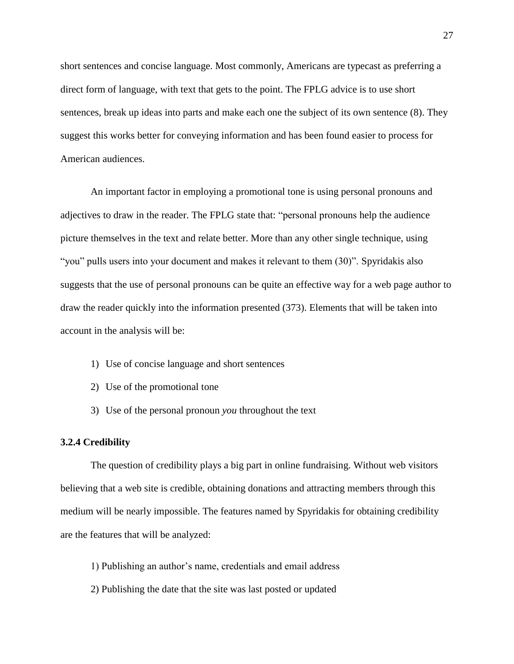short sentences and concise language. Most commonly, Americans are typecast as preferring a direct form of language, with text that gets to the point. The FPLG advice is to use short sentences, break up ideas into parts and make each one the subject of its own sentence (8). They suggest this works better for conveying information and has been found easier to process for American audiences.

An important factor in employing a promotional tone is using personal pronouns and adjectives to draw in the reader. The FPLG state that: "personal pronouns help the audience picture themselves in the text and relate better. More than any other single technique, using "you" pulls users into your document and makes it relevant to them (30)". Spyridakis also suggests that the use of personal pronouns can be quite an effective way for a web page author to draw the reader quickly into the information presented (373). Elements that will be taken into account in the analysis will be:

- 1) Use of concise language and short sentences
- 2) Use of the promotional tone
- 3) Use of the personal pronoun *you* throughout the text

#### <span id="page-31-0"></span>**3.2.4 Credibility**

The question of credibility plays a big part in online fundraising. Without web visitors believing that a web site is credible, obtaining donations and attracting members through this medium will be nearly impossible. The features named by Spyridakis for obtaining credibility are the features that will be analyzed:

- 1) Publishing an author's name, credentials and email address
- 2) Publishing the date that the site was last posted or updated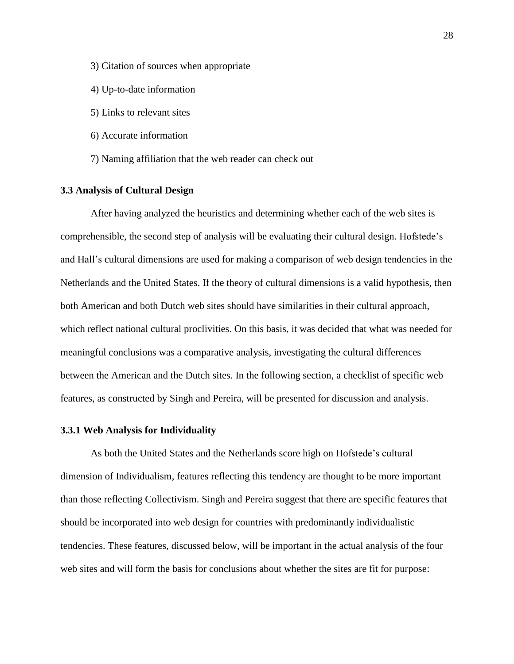- 3) Citation of sources when appropriate
- 4) Up-to-date information
- 5) Links to relevant sites
- 6) Accurate information
- 7) Naming affiliation that the web reader can check out

#### <span id="page-32-0"></span>**3.3 Analysis of Cultural Design**

After having analyzed the heuristics and determining whether each of the web sites is comprehensible, the second step of analysis will be evaluating their cultural design. Hofstede's and Hall's cultural dimensions are used for making a comparison of web design tendencies in the Netherlands and the United States. If the theory of cultural dimensions is a valid hypothesis, then both American and both Dutch web sites should have similarities in their cultural approach, which reflect national cultural proclivities. On this basis, it was decided that what was needed for meaningful conclusions was a comparative analysis, investigating the cultural differences between the American and the Dutch sites. In the following section, a checklist of specific web features, as constructed by Singh and Pereira, will be presented for discussion and analysis.

#### <span id="page-32-1"></span>**3.3.1 Web Analysis for Individuality**

As both the United States and the Netherlands score high on Hofstede's cultural dimension of Individualism, features reflecting this tendency are thought to be more important than those reflecting Collectivism. Singh and Pereira suggest that there are specific features that should be incorporated into web design for countries with predominantly individualistic tendencies. These features, discussed below, will be important in the actual analysis of the four web sites and will form the basis for conclusions about whether the sites are fit for purpose: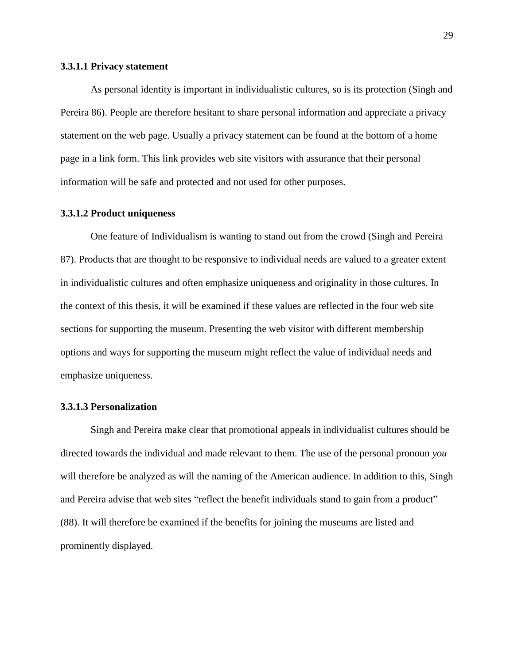#### **3.3.1.1 Privacy statement**

As personal identity is important in individualistic cultures, so is its protection (Singh and Pereira 86). People are therefore hesitant to share personal information and appreciate a privacy statement on the web page. Usually a privacy statement can be found at the bottom of a home page in a link form. This link provides web site visitors with assurance that their personal information will be safe and protected and not used for other purposes.

#### **3.3.1.2 Product uniqueness**

One feature of Individualism is wanting to stand out from the crowd (Singh and Pereira 87). Products that are thought to be responsive to individual needs are valued to a greater extent in individualistic cultures and often emphasize uniqueness and originality in those cultures. In the context of this thesis, it will be examined if these values are reflected in the four web site sections for supporting the museum. Presenting the web visitor with different membership options and ways for supporting the museum might reflect the value of individual needs and emphasize uniqueness.

#### **3.3.1.3 Personalization**

Singh and Pereira make clear that promotional appeals in individualist cultures should be directed towards the individual and made relevant to them. The use of the personal pronoun *you* will therefore be analyzed as will the naming of the American audience. In addition to this, Singh and Pereira advise that web sites "reflect the benefit individuals stand to gain from a product" (88). It will therefore be examined if the benefits for joining the museums are listed and prominently displayed.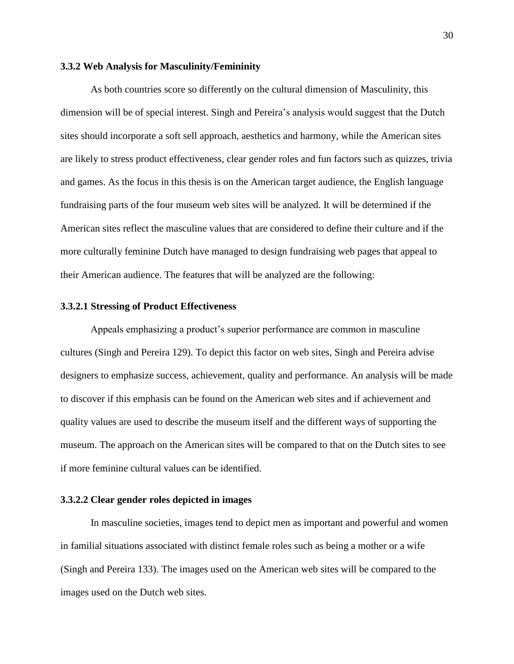#### <span id="page-34-0"></span>**3.3.2 Web Analysis for Masculinity/Femininity**

As both countries score so differently on the cultural dimension of Masculinity, this dimension will be of special interest. Singh and Pereira's analysis would suggest that the Dutch sites should incorporate a soft sell approach, aesthetics and harmony, while the American sites are likely to stress product effectiveness, clear gender roles and fun factors such as quizzes, trivia and games. As the focus in this thesis is on the American target audience, the English language fundraising parts of the four museum web sites will be analyzed. It will be determined if the American sites reflect the masculine values that are considered to define their culture and if the more culturally feminine Dutch have managed to design fundraising web pages that appeal to their American audience. The features that will be analyzed are the following:

#### **3.3.2.1 Stressing of Product Effectiveness**

Appeals emphasizing a product's superior performance are common in masculine cultures (Singh and Pereira 129). To depict this factor on web sites, Singh and Pereira advise designers to emphasize success, achievement, quality and performance. An analysis will be made to discover if this emphasis can be found on the American web sites and if achievement and quality values are used to describe the museum itself and the different ways of supporting the museum. The approach on the American sites will be compared to that on the Dutch sites to see if more feminine cultural values can be identified.

#### **3.3.2.2 Clear gender roles depicted in images**

In masculine societies, images tend to depict men as important and powerful and women in familial situations associated with distinct female roles such as being a mother or a wife (Singh and Pereira 133). The images used on the American web sites will be compared to the images used on the Dutch web sites.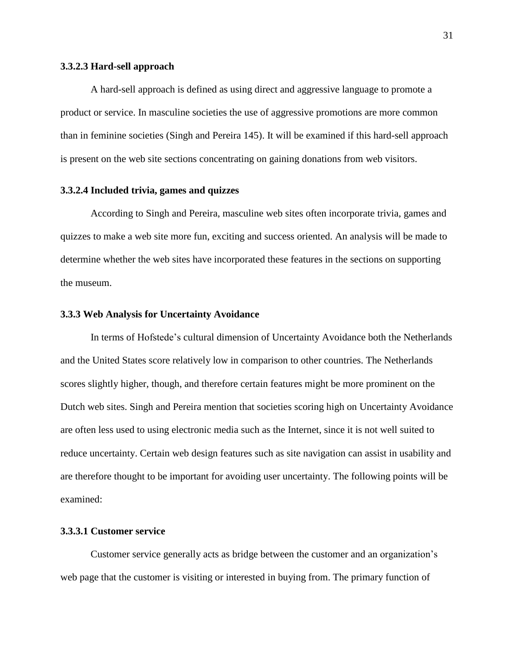#### **3.3.2.3 Hard-sell approach**

A hard-sell approach is defined as using direct and aggressive language to promote a product or service. In masculine societies the use of aggressive promotions are more common than in feminine societies (Singh and Pereira 145). It will be examined if this hard-sell approach is present on the web site sections concentrating on gaining donations from web visitors.

#### **3.3.2.4 Included trivia, games and quizzes**

According to Singh and Pereira, masculine web sites often incorporate trivia, games and quizzes to make a web site more fun, exciting and success oriented. An analysis will be made to determine whether the web sites have incorporated these features in the sections on supporting the museum.

#### <span id="page-35-0"></span>**3.3.3 Web Analysis for Uncertainty Avoidance**

In terms of Hofstede's cultural dimension of Uncertainty Avoidance both the Netherlands and the United States score relatively low in comparison to other countries. The Netherlands scores slightly higher, though, and therefore certain features might be more prominent on the Dutch web sites. Singh and Pereira mention that societies scoring high on Uncertainty Avoidance are often less used to using electronic media such as the Internet, since it is not well suited to reduce uncertainty. Certain web design features such as site navigation can assist in usability and are therefore thought to be important for avoiding user uncertainty. The following points will be examined:

#### **3.3.3.1 Customer service**

Customer service generally acts as bridge between the customer and an organization's web page that the customer is visiting or interested in buying from. The primary function of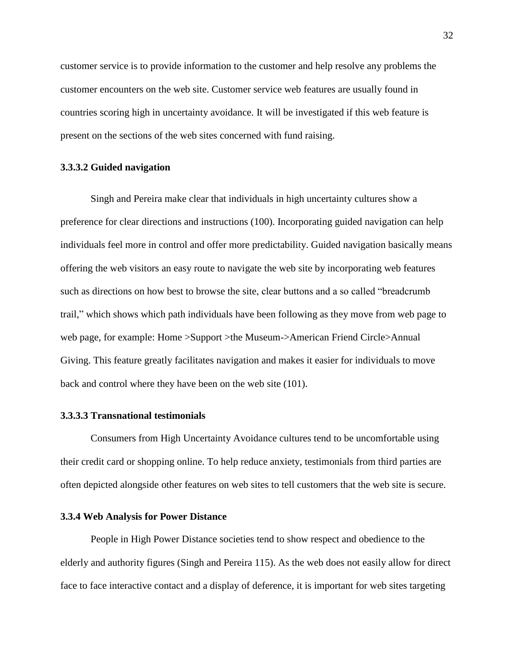customer service is to provide information to the customer and help resolve any problems the customer encounters on the web site. Customer service web features are usually found in countries scoring high in uncertainty avoidance. It will be investigated if this web feature is present on the sections of the web sites concerned with fund raising.

#### **3.3.3.2 Guided navigation**

Singh and Pereira make clear that individuals in high uncertainty cultures show a preference for clear directions and instructions (100). Incorporating guided navigation can help individuals feel more in control and offer more predictability. Guided navigation basically means offering the web visitors an easy route to navigate the web site by incorporating web features such as directions on how best to browse the site, clear buttons and a so called "breadcrumb trail," which shows which path individuals have been following as they move from web page to web page, for example: Home >Support >the Museum->American Friend Circle>Annual Giving. This feature greatly facilitates navigation and makes it easier for individuals to move back and control where they have been on the web site (101).

## **3.3.3.3 Transnational testimonials**

Consumers from High Uncertainty Avoidance cultures tend to be uncomfortable using their credit card or shopping online. To help reduce anxiety, testimonials from third parties are often depicted alongside other features on web sites to tell customers that the web site is secure.

## **3.3.4 Web Analysis for Power Distance**

People in High Power Distance societies tend to show respect and obedience to the elderly and authority figures (Singh and Pereira 115). As the web does not easily allow for direct face to face interactive contact and a display of deference, it is important for web sites targeting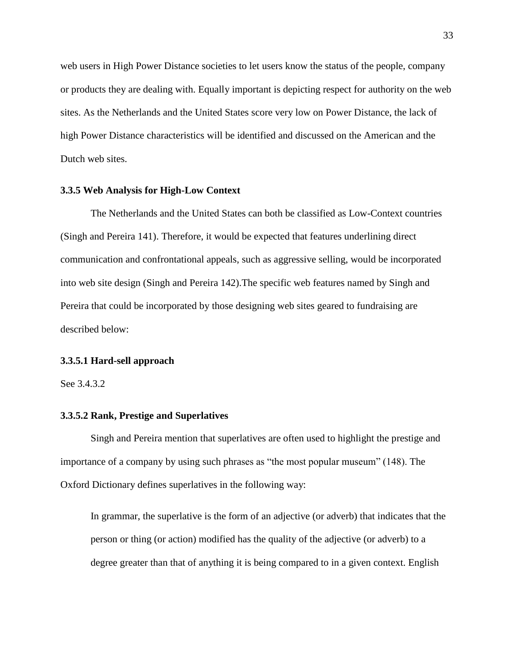web users in High Power Distance societies to let users know the status of the people, company or products they are dealing with. Equally important is depicting respect for authority on the web sites. As the Netherlands and the United States score very low on Power Distance, the lack of high Power Distance characteristics will be identified and discussed on the American and the Dutch web sites.

#### **3.3.5 Web Analysis for High-Low Context**

The Netherlands and the United States can both be classified as Low-Context countries (Singh and Pereira 141). Therefore, it would be expected that features underlining direct communication and confrontational appeals, such as aggressive selling, would be incorporated into web site design (Singh and Pereira 142).The specific web features named by Singh and Pereira that could be incorporated by those designing web sites geared to fundraising are described below:

## **3.3.5.1 Hard-sell approach**

See 3.4.3.2

## **3.3.5.2 Rank, Prestige and Superlatives**

Singh and Pereira mention that superlatives are often used to highlight the prestige and importance of a company by using such phrases as "the most popular museum" (148). The Oxford Dictionary defines superlatives in the following way:

In [grammar,](http://en.wikipedia.org/wiki/Grammar) the superlative is the form of an [adjective](http://en.wikipedia.org/wiki/Adjective) (or [adverb\)](http://en.wikipedia.org/wiki/Adverb) that indicates that the person or thing (or action) modified has the quality of the adjective (or adverb) to a degree greater than that of anything it is being compared to in a given context. English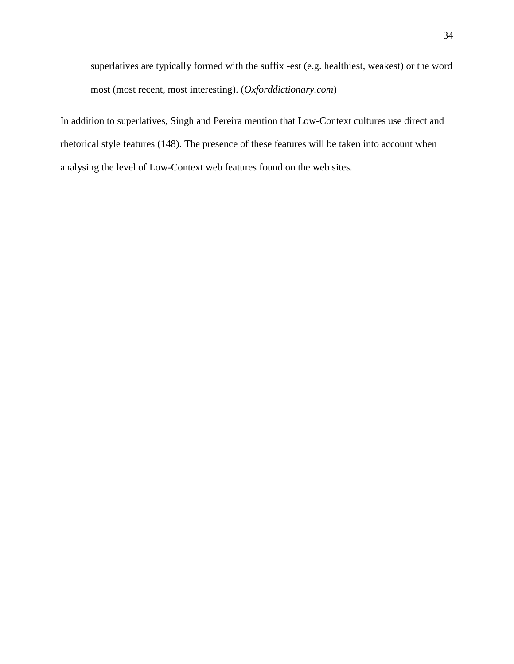superlatives are typically formed with the suffix -est (e.g. healthiest, weakest) or the word most (most recent, most interesting). (*Oxforddictionary.com*)

In addition to superlatives, Singh and Pereira mention that Low-Context cultures use direct and rhetorical style features (148). The presence of these features will be taken into account when analysing the level of Low-Context web features found on the web sites.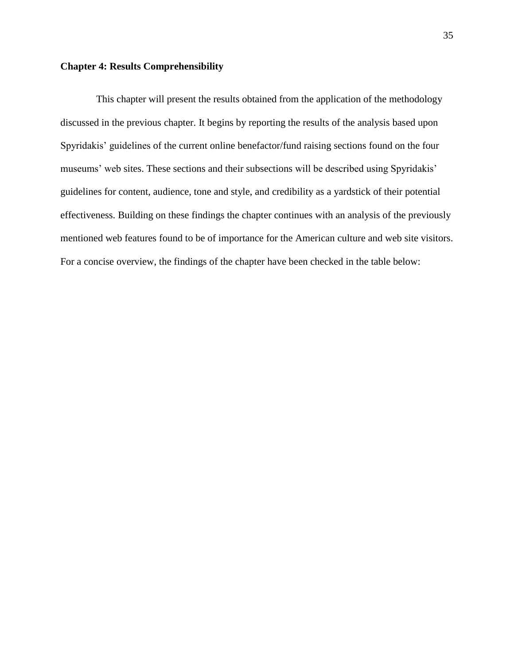#### **Chapter 4: Results Comprehensibility**

This chapter will present the results obtained from the application of the methodology discussed in the previous chapter. It begins by reporting the results of the analysis based upon Spyridakis' guidelines of the current online benefactor/fund raising sections found on the four museums' web sites. These sections and their subsections will be described using Spyridakis' guidelines for content, audience, tone and style, and credibility as a yardstick of their potential effectiveness. Building on these findings the chapter continues with an analysis of the previously mentioned web features found to be of importance for the American culture and web site visitors. For a concise overview, the findings of the chapter have been checked in the table below: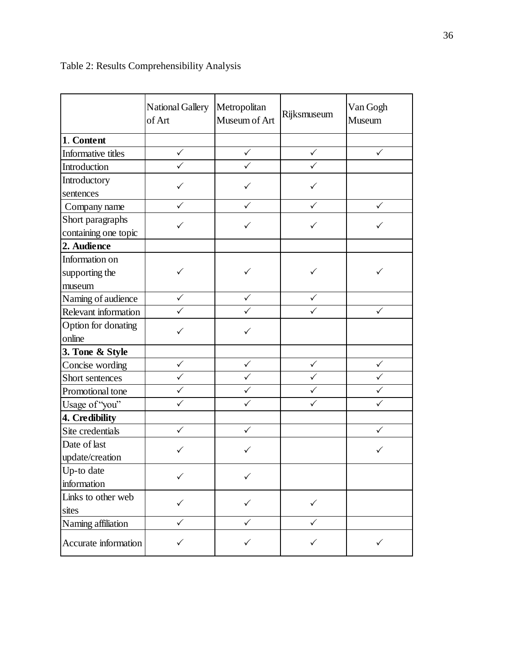|                      | National Gallery<br>of Art | Metropolitan<br>Museum of Art | Rijksmuseum  | Van Gogh<br>Museum |
|----------------------|----------------------------|-------------------------------|--------------|--------------------|
| 1. Content           |                            |                               |              |                    |
| Informative titles   | $\checkmark$               | $\checkmark$                  | $\checkmark$ | $\checkmark$       |
| Introduction         | $\checkmark$               | $\checkmark$                  | $\checkmark$ |                    |
| Introductory         |                            |                               |              |                    |
| sentences            | ✓                          | ✓                             | ✓            |                    |
| Company name         | ✓                          | ✓                             | ✓            | ✓                  |
| Short paragraphs     |                            | ✓                             | ✓            |                    |
| containing one topic | ✓                          |                               |              |                    |
| 2. Audience          |                            |                               |              |                    |
| Information on       |                            |                               |              |                    |
| supporting the       | ✓                          | ✓                             | ✓            |                    |
| museum               |                            |                               |              |                    |
| Naming of audience   | $\checkmark$               | $\checkmark$                  | $\checkmark$ |                    |
| Relevant information |                            |                               |              | ✓                  |
| Option for donating  |                            |                               |              |                    |
| online               |                            |                               |              |                    |
| 3. Tone & Style      |                            |                               |              |                    |
| Concise wording      | $\checkmark$               | $\checkmark$                  | $\checkmark$ | $\checkmark$       |
| Short sentences      | $\checkmark$               | $\checkmark$                  | $\checkmark$ | $\checkmark$       |
| Promotional tone     | $\checkmark$               | $\checkmark$                  | $\checkmark$ | $\checkmark$       |
| Usage of "you"       | $\checkmark$               | $\checkmark$                  | $\checkmark$ | $\checkmark$       |
| 4. Credibility       |                            |                               |              |                    |
| Site credentials     | $\checkmark$               | $\checkmark$                  |              | $\checkmark$       |
| Date of last         | $\checkmark$               | ✓                             |              | ✓                  |
| update/creation      |                            |                               |              |                    |
| Up-to date           | ✓                          | ✓                             |              |                    |
| information          |                            |                               |              |                    |
| Links to other web   | $\checkmark$               | ✓                             | $\checkmark$ |                    |
| sites                |                            |                               |              |                    |
| Naming affiliation   | ✓                          | ✓                             | ✓            |                    |
| Accurate information | $\checkmark$               | ✓                             | ✓            | $\checkmark$       |

# Table 2: Results Comprehensibility Analysis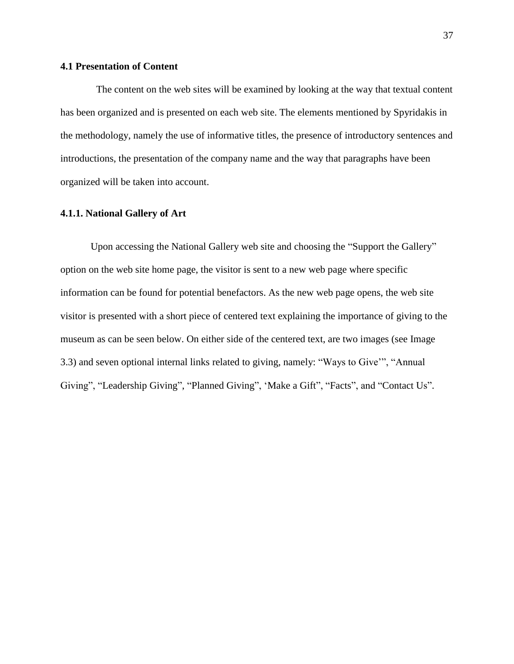## **4.1 Presentation of Content**

The content on the web sites will be examined by looking at the way that textual content has been organized and is presented on each web site. The elements mentioned by Spyridakis in the methodology, namely the use of informative titles, the presence of introductory sentences and introductions, the presentation of the company name and the way that paragraphs have been organized will be taken into account.

## **4.1.1. National Gallery of Art**

Upon accessing the National Gallery web site and choosing the "Support the Gallery" option on the web site home page, the visitor is sent to a new web page where specific information can be found for potential benefactors. As the new web page opens, the web site visitor is presented with a short piece of centered text explaining the importance of giving to the museum as can be seen below. On either side of the centered text, are two images (see Image 3.3) and seven optional internal links related to giving, namely: "Ways to Give'", "Annual Giving", "Leadership Giving", "Planned Giving", 'Make a Gift", "Facts", and "Contact Us".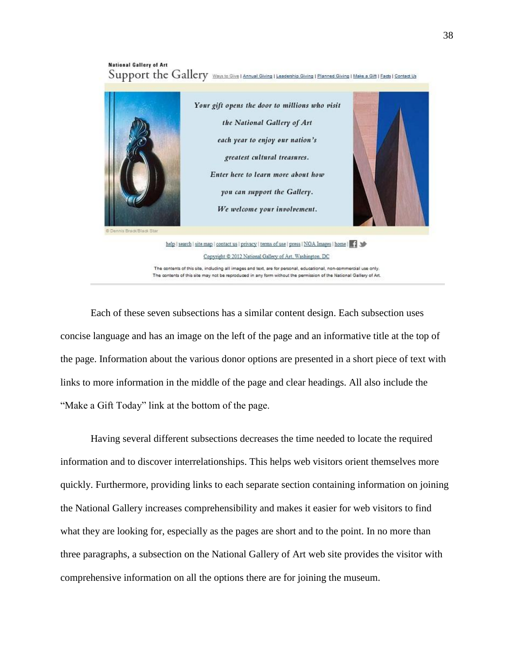## **National Gallery of Art** Support the Gallery Ways to Give | Annual Giving | Leadership Giving | Planned Giving | Make a Gift | Facts | Contact Us



Each of these seven subsections has a similar content design. Each subsection uses concise language and has an image on the left of the page and an informative title at the top of the page. Information about the various donor options are presented in a short piece of text with links to more information in the middle of the page and clear headings. All also include the "Make a Gift Today" link at the bottom of the page.

Having several different subsections decreases the time needed to locate the required information and to discover interrelationships. This helps web visitors orient themselves more quickly. Furthermore, providing links to each separate section containing information on joining the National Gallery increases comprehensibility and makes it easier for web visitors to find what they are looking for, especially as the pages are short and to the point. In no more than three paragraphs, a subsection on the National Gallery of Art web site provides the visitor with comprehensive information on all the options there are for joining the museum.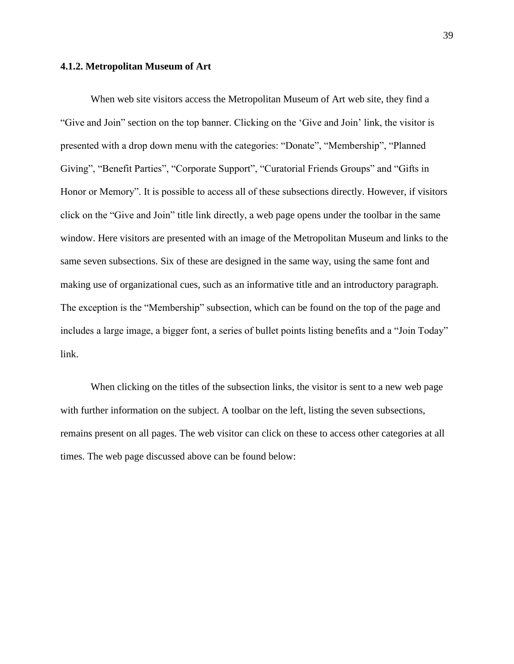#### **4.1.2. Metropolitan Museum of Art**

When web site visitors access the Metropolitan Museum of Art web site, they find a "Give and Join" section on the top banner. Clicking on the 'Give and Join' link, the visitor is presented with a drop down menu with the categories: "Donate", "Membership", "Planned Giving", "Benefit Parties", "Corporate Support", "Curatorial Friends Groups" and "Gifts in Honor or Memory". It is possible to access all of these subsections directly. However, if visitors click on the "Give and Join" title link directly, a web page opens under the toolbar in the same window. Here visitors are presented with an image of the Metropolitan Museum and links to the same seven subsections. Six of these are designed in the same way, using the same font and making use of organizational cues, such as an informative title and an introductory paragraph. The exception is the "Membership" subsection, which can be found on the top of the page and includes a large image, a bigger font, a series of bullet points listing benefits and a "Join Today" link.

When clicking on the titles of the subsection links, the visitor is sent to a new web page with further information on the subject. A toolbar on the left, listing the seven subsections, remains present on all pages. The web visitor can click on these to access other categories at all times. The web page discussed above can be found below: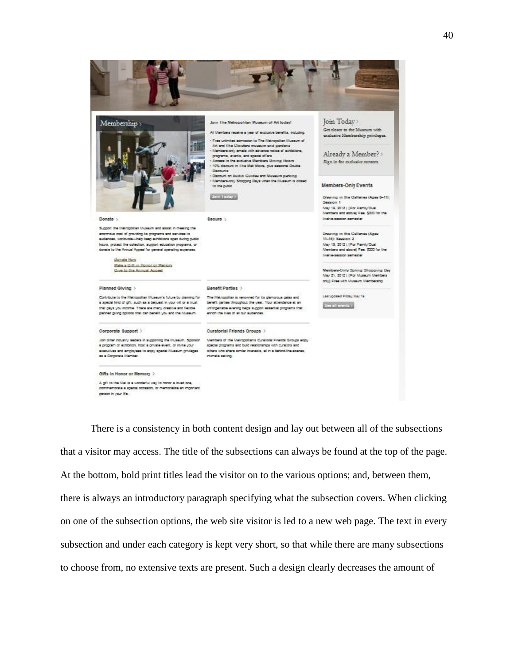

There is a consistency in both content design and lay out between all of the subsections that a visitor may access. The title of the subsections can always be found at the top of the page. At the bottom, bold print titles lead the visitor on to the various options; and, between them, there is always an introductory paragraph specifying what the subsection covers. When clicking on one of the subsection options, the web site visitor is led to a new web page. The text in every subsection and under each category is kept very short, so that while there are many subsections to choose from, no extensive texts are present. Such a design clearly decreases the amount of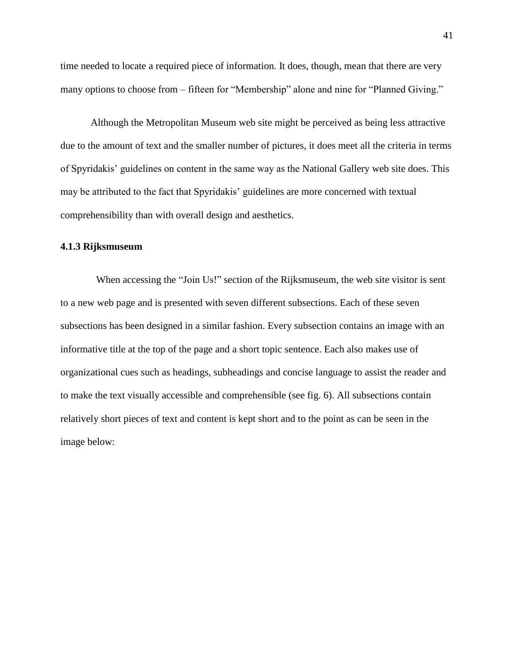time needed to locate a required piece of information. It does, though, mean that there are very many options to choose from – fifteen for "Membership" alone and nine for "Planned Giving."

Although the Metropolitan Museum web site might be perceived as being less attractive due to the amount of text and the smaller number of pictures, it does meet all the criteria in terms of Spyridakis' guidelines on content in the same way as the National Gallery web site does. This may be attributed to the fact that Spyridakis' guidelines are more concerned with textual comprehensibility than with overall design and aesthetics.

#### **4.1.3 Rijksmuseum**

When accessing the "Join Us!" section of the Rijksmuseum, the web site visitor is sent to a new web page and is presented with seven different subsections. Each of these seven subsections has been designed in a similar fashion. Every subsection contains an image with an informative title at the top of the page and a short topic sentence. Each also makes use of organizational cues such as headings, subheadings and concise language to assist the reader and to make the text visually accessible and comprehensible (see fig. 6). All subsections contain relatively short pieces of text and content is kept short and to the point as can be seen in the image below: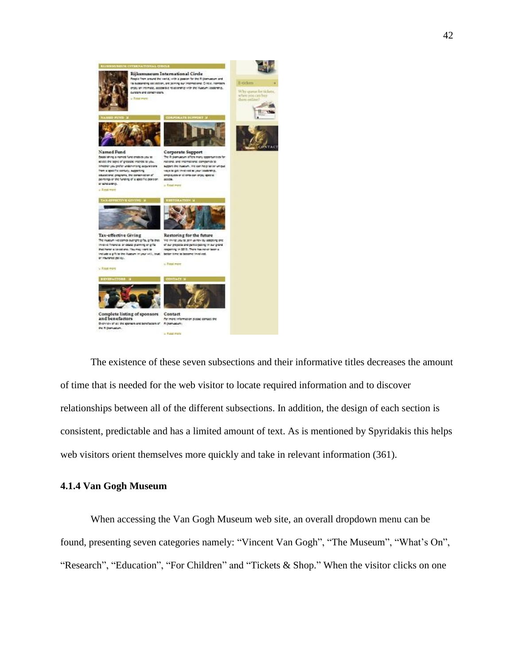

The existence of these seven subsections and their informative titles decreases the amount of time that is needed for the web visitor to locate required information and to discover relationships between all of the different subsections. In addition, the design of each section is consistent, predictable and has a limited amount of text. As is mentioned by Spyridakis this helps web visitors orient themselves more quickly and take in relevant information (361).

## **4.1.4 Van Gogh Museum**

When accessing the Van Gogh Museum web site, an overall dropdown menu can be found, presenting seven categories namely: "Vincent Van Gogh", "The Museum", "What's On", "Research", "Education", "For Children" and "Tickets & Shop." When the visitor clicks on one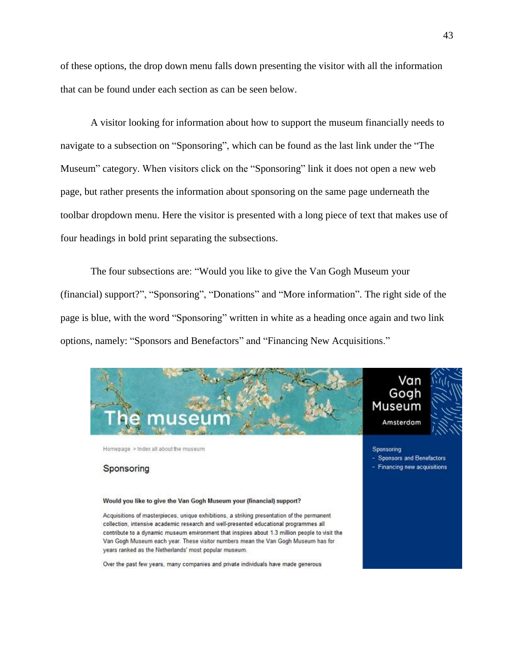of these options, the drop down menu falls down presenting the visitor with all the information that can be found under each section as can be seen below.

A visitor looking for information about how to support the museum financially needs to navigate to a subsection on "Sponsoring", which can be found as the last link under the "The Museum" category. When visitors click on the "Sponsoring" link it does not open a new web page, but rather presents the information about sponsoring on the same page underneath the toolbar dropdown menu. Here the visitor is presented with a long piece of text that makes use of four headings in bold print separating the subsections.

The four subsections are: "Would you like to give the Van Gogh Museum your (financial) support?", "Sponsoring", "Donations" and "More information". The right side of the page is blue, with the word "Sponsoring" written in white as a heading once again and two link options, namely: "Sponsors and Benefactors" and "Financing New Acquisitions."



#### Sponsoring

#### Would you like to give the Van Gogh Museum your (financial) support?

Acquisitions of masterpieces, unique exhibitions, a striking presentation of the permanent collection, intensive academic research and well-presented educational programmes all contribute to a dynamic museum environment that inspires about 1.3 million people to visit the Van Gogh Museum each year. These visitor numbers mean the Van Gogh Museum has for years ranked as the Netherlands' most popular museum.

Over the past few years, many companies and private individuals have made generous

- Sponsors and Benefactors

- Financing new acquisitions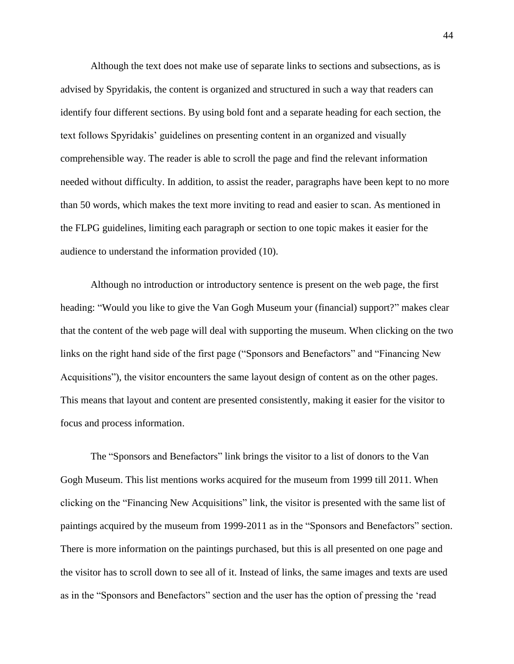Although the text does not make use of separate links to sections and subsections, as is advised by Spyridakis, the content is organized and structured in such a way that readers can identify four different sections. By using bold font and a separate heading for each section, the text follows Spyridakis' guidelines on presenting content in an organized and visually comprehensible way. The reader is able to scroll the page and find the relevant information needed without difficulty. In addition, to assist the reader, paragraphs have been kept to no more than 50 words, which makes the text more inviting to read and easier to scan. As mentioned in the FLPG guidelines, limiting each paragraph or section to one topic makes it easier for the audience to understand the information provided (10).

Although no introduction or introductory sentence is present on the web page, the first heading: "Would you like to give the Van Gogh Museum your (financial) support?" makes clear that the content of the web page will deal with supporting the museum. When clicking on the two links on the right hand side of the first page ("Sponsors and Benefactors" and "Financing New Acquisitions"), the visitor encounters the same layout design of content as on the other pages. This means that layout and content are presented consistently, making it easier for the visitor to focus and process information.

The "Sponsors and Benefactors" link brings the visitor to a list of donors to the Van Gogh Museum. This list mentions works acquired for the museum from 1999 till 2011. When clicking on the "Financing New Acquisitions" link, the visitor is presented with the same list of paintings acquired by the museum from 1999-2011 as in the "Sponsors and Benefactors" section. There is more information on the paintings purchased, but this is all presented on one page and the visitor has to scroll down to see all of it. Instead of links, the same images and texts are used as in the "Sponsors and Benefactors" section and the user has the option of pressing the 'read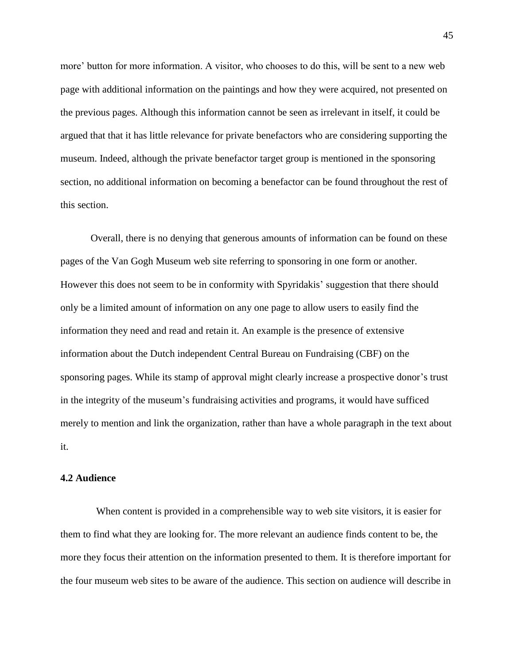more' button for more information. A visitor, who chooses to do this, will be sent to a new web page with additional information on the paintings and how they were acquired, not presented on the previous pages. Although this information cannot be seen as irrelevant in itself, it could be argued that that it has little relevance for private benefactors who are considering supporting the museum. Indeed, although the private benefactor target group is mentioned in the sponsoring section, no additional information on becoming a benefactor can be found throughout the rest of this section.

Overall, there is no denying that generous amounts of information can be found on these pages of the Van Gogh Museum web site referring to sponsoring in one form or another. However this does not seem to be in conformity with Spyridakis' suggestion that there should only be a limited amount of information on any one page to allow users to easily find the information they need and read and retain it. An example is the presence of extensive information about the Dutch independent Central Bureau on Fundraising (CBF) on the sponsoring pages. While its stamp of approval might clearly increase a prospective donor's trust in the integrity of the museum's fundraising activities and programs, it would have sufficed merely to mention and link the organization, rather than have a whole paragraph in the text about it.

#### **4.2 Audience**

When content is provided in a comprehensible way to web site visitors, it is easier for them to find what they are looking for. The more relevant an audience finds content to be, the more they focus their attention on the information presented to them. It is therefore important for the four museum web sites to be aware of the audience. This section on audience will describe in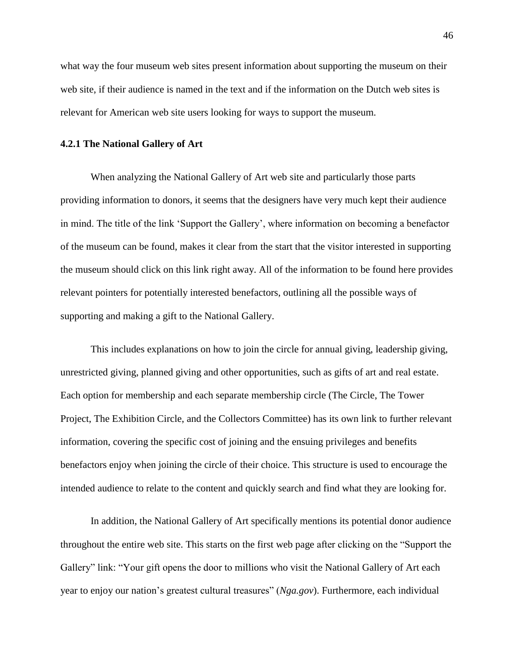what way the four museum web sites present information about supporting the museum on their web site, if their audience is named in the text and if the information on the Dutch web sites is relevant for American web site users looking for ways to support the museum.

#### **4.2.1 The National Gallery of Art**

When analyzing the National Gallery of Art web site and particularly those parts providing information to donors, it seems that the designers have very much kept their audience in mind. The title of the link 'Support the Gallery', where information on becoming a benefactor of the museum can be found, makes it clear from the start that the visitor interested in supporting the museum should click on this link right away. All of the information to be found here provides relevant pointers for potentially interested benefactors, outlining all the possible ways of supporting and making a gift to the National Gallery.

This includes explanations on how to join the circle for annual giving, leadership giving, unrestricted giving, planned giving and other opportunities, such as gifts of art and real estate. Each option for membership and each separate membership circle (The Circle, The Tower Project, The Exhibition Circle, and the Collectors Committee) has its own link to further relevant information, covering the specific cost of joining and the ensuing privileges and benefits benefactors enjoy when joining the circle of their choice. This structure is used to encourage the intended audience to relate to the content and quickly search and find what they are looking for.

In addition, the National Gallery of Art specifically mentions its potential donor audience throughout the entire web site. This starts on the first web page after clicking on the "Support the Gallery" link: "Your gift opens the door to millions who visit the National Gallery of Art each year to enjoy our nation's greatest cultural treasures" (*[Nga.gov](http://www.nga.gov/)*). Furthermore, each individual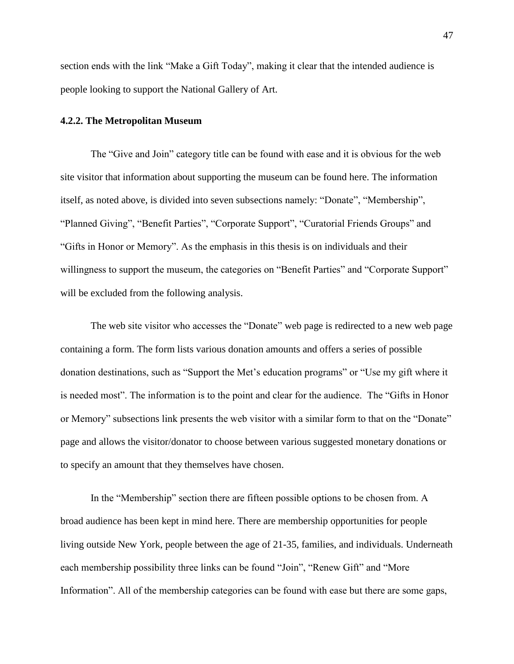section ends with the link "Make a Gift Today", making it clear that the intended audience is people looking to support the National Gallery of Art.

#### **4.2.2. The Metropolitan Museum**

The "Give and Join" category title can be found with ease and it is obvious for the web site visitor that information about supporting the museum can be found here. The information itself, as noted above, is divided into seven subsections namely: "Donate", "Membership", "Planned Giving", "Benefit Parties", "Corporate Support", "Curatorial Friends Groups" and "Gifts in Honor or Memory". As the emphasis in this thesis is on individuals and their willingness to support the museum, the categories on "Benefit Parties" and "Corporate Support" will be excluded from the following analysis.

The web site visitor who accesses the "Donate" web page is redirected to a new web page containing a form. The form lists various donation amounts and offers a series of possible donation destinations, such as "Support the Met's education programs" or "Use my gift where it is needed most". The information is to the point and clear for the audience. The "Gifts in Honor or Memory" subsections link presents the web visitor with a similar form to that on the "Donate" page and allows the visitor/donator to choose between various suggested monetary donations or to specify an amount that they themselves have chosen.

In the "Membership" section there are fifteen possible options to be chosen from. A broad audience has been kept in mind here. There are membership opportunities for people living outside New York, people between the age of 21-35, families, and individuals. Underneath each membership possibility three links can be found "Join", "Renew Gift" and "More Information". All of the membership categories can be found with ease but there are some gaps,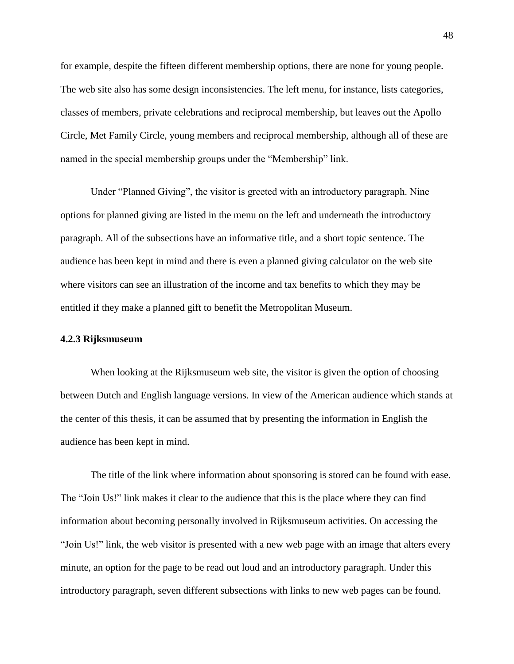for example, despite the fifteen different membership options, there are none for young people. The web site also has some design inconsistencies. The left menu, for instance, lists categories, classes of members, private celebrations and reciprocal membership, but leaves out the Apollo Circle, Met Family Circle, young members and reciprocal membership, although all of these are named in the special membership groups under the "Membership" link.

Under "Planned Giving", the visitor is greeted with an introductory paragraph. Nine options for planned giving are listed in the menu on the left and underneath the introductory paragraph. All of the subsections have an informative title, and a short topic sentence. The audience has been kept in mind and there is even a planned giving calculator on the web site where visitors can see an illustration of the income and tax benefits to which they may be entitled if they make a planned gift to benefit the Metropolitan Museum.

#### **4.2.3 Rijksmuseum**

When looking at the Rijksmuseum web site, the visitor is given the option of choosing between Dutch and English language versions. In view of the American audience which stands at the center of this thesis, it can be assumed that by presenting the information in English the audience has been kept in mind.

The title of the link where information about sponsoring is stored can be found with ease. The "Join Us!" link makes it clear to the audience that this is the place where they can find information about becoming personally involved in Rijksmuseum activities. On accessing the "Join Us!" link, the web visitor is presented with a new web page with an image that alters every minute, an option for the page to be read out loud and an introductory paragraph. Under this introductory paragraph, seven different subsections with links to new web pages can be found.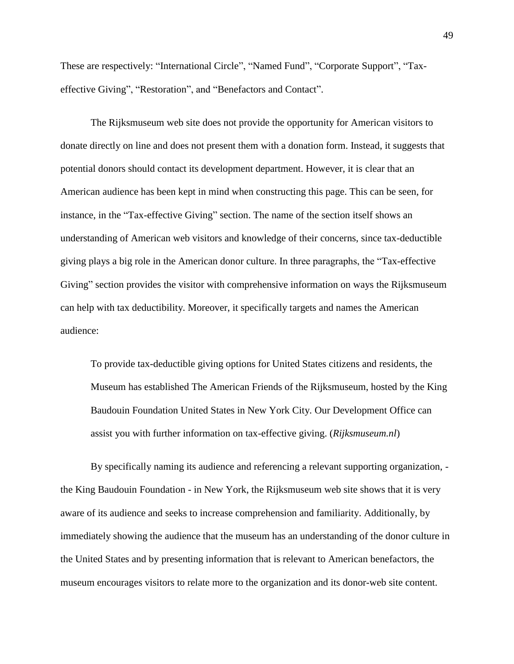These are respectively: "International Circle", "Named Fund", "Corporate Support", "Taxeffective Giving", "Restoration", and "Benefactors and Contact".

The Rijksmuseum web site does not provide the opportunity for American visitors to donate directly on line and does not present them with a donation form. Instead, it suggests that potential donors should contact its development department. However, it is clear that an American audience has been kept in mind when constructing this page. This can be seen, for instance, in the "Tax-effective Giving" section. The name of the section itself shows an understanding of American web visitors and knowledge of their concerns, since tax-deductible giving plays a big role in the American donor culture. In three paragraphs, the "Tax-effective Giving" section provides the visitor with comprehensive information on ways the Rijksmuseum can help with tax deductibility. Moreover, it specifically targets and names the American audience:

To provide tax-deductible giving options for United States citizens and residents, the Museum has established The American Friends of the Rijksmuseum, hosted by the King Baudouin Foundation United States in New York City. Our Development Office can assist you with further information on tax-effective giving. (*Rijksmuseum.nl*)

By specifically naming its audience and referencing a relevant supporting organization, the King Baudouin Foundation - in New York, the Rijksmuseum web site shows that it is very aware of its audience and seeks to increase comprehension and familiarity. Additionally, by immediately showing the audience that the museum has an understanding of the donor culture in the United States and by presenting information that is relevant to American benefactors, the museum encourages visitors to relate more to the organization and its donor-web site content.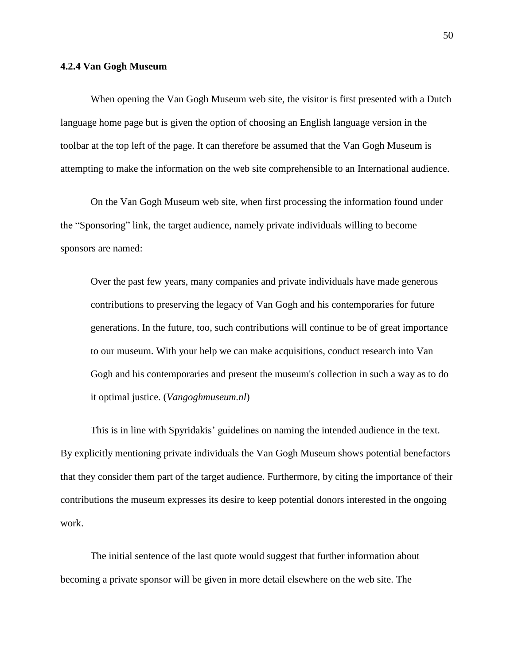#### **4.2.4 Van Gogh Museum**

When opening the Van Gogh Museum web site, the visitor is first presented with a Dutch language home page but is given the option of choosing an English language version in the toolbar at the top left of the page. It can therefore be assumed that the Van Gogh Museum is attempting to make the information on the web site comprehensible to an International audience.

On the Van Gogh Museum web site, when first processing the information found under the "Sponsoring" link, the target audience, namely private individuals willing to become sponsors are named:

Over the past few years, many companies and private individuals have made generous contributions to preserving the legacy of Van Gogh and his contemporaries for future generations. In the future, too, such contributions will continue to be of great importance to our museum. With your help we can make acquisitions, conduct research into Van Gogh and his contemporaries and present the museum's collection in such a way as to do it optimal justice. (*Vangoghmuseum.nl*)

This is in line with Spyridakis' guidelines on naming the intended audience in the text. By explicitly mentioning private individuals the Van Gogh Museum shows potential benefactors that they consider them part of the target audience. Furthermore, by citing the importance of their contributions the museum expresses its desire to keep potential donors interested in the ongoing work.

The initial sentence of the last quote would suggest that further information about becoming a private sponsor will be given in more detail elsewhere on the web site. The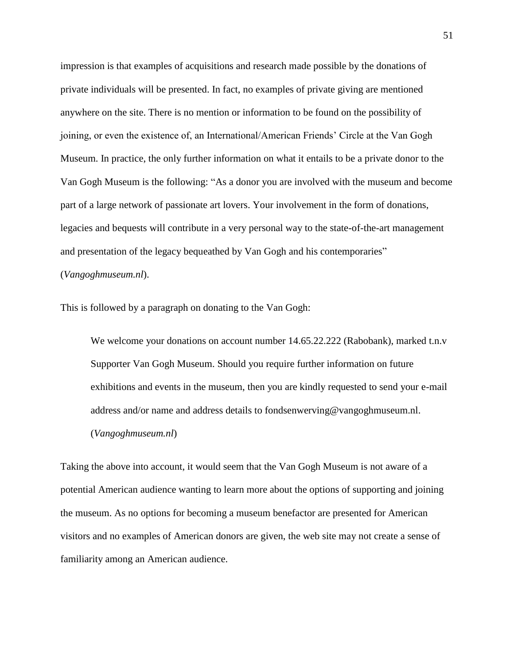impression is that examples of acquisitions and research made possible by the donations of private individuals will be presented. In fact, no examples of private giving are mentioned anywhere on the site. There is no mention or information to be found on the possibility of joining, or even the existence of, an International/American Friends' Circle at the Van Gogh Museum. In practice, the only further information on what it entails to be a private donor to the Van Gogh Museum is the following: "As a donor you are involved with the museum and become part of a large network of passionate art lovers. Your involvement in the form of donations, legacies and bequests will contribute in a very personal way to the state-of-the-art management and presentation of the legacy bequeathed by Van Gogh and his contemporaries"

#### (*Vangoghmuseum.nl*).

This is followed by a paragraph on donating to the Van Gogh:

We welcome your donations on account number 14.65.22.222 (Rabobank), marked t.n.v Supporter Van Gogh Museum. Should you require further information on future exhibitions and events in the museum, then you are kindly requested to send your e-mail address and/or name and address details to [fondsenwerving@vangoghmuseum.nl.](mailto:fondsenwerving@vangoghmuseum.nl) (*Vangoghmuseum.nl*)

Taking the above into account, it would seem that the Van Gogh Museum is not aware of a potential American audience wanting to learn more about the options of supporting and joining the museum. As no options for becoming a museum benefactor are presented for American visitors and no examples of American donors are given, the web site may not create a sense of familiarity among an American audience.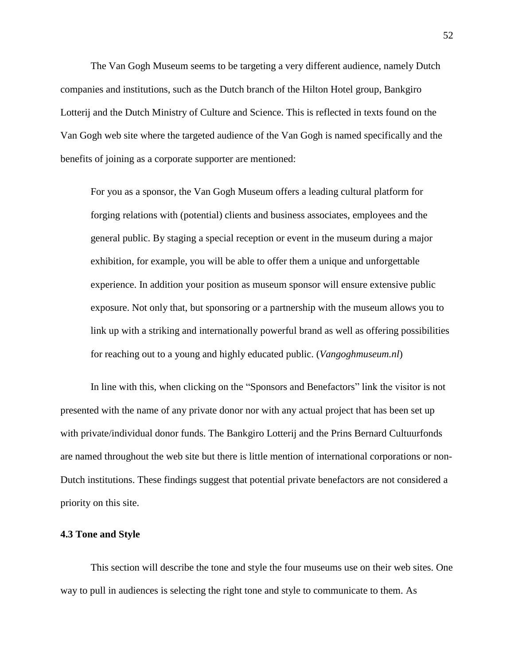The Van Gogh Museum seems to be targeting a very different audience, namely Dutch companies and institutions, such as the Dutch branch of the Hilton Hotel group, Bankgiro Lotterij and the Dutch Ministry of Culture and Science. This is reflected in texts found on the Van Gogh web site where the targeted audience of the Van Gogh is named specifically and the benefits of joining as a corporate supporter are mentioned:

For you as a sponsor, the Van Gogh Museum offers a leading cultural platform for forging relations with (potential) clients and business associates, employees and the general public. By staging a special reception or event in the museum during a major exhibition, for example, you will be able to offer them a unique and unforgettable experience. In addition your position as museum sponsor will ensure extensive public exposure. Not only that, but sponsoring or a partnership with the museum allows you to link up with a striking and internationally powerful brand as well as offering possibilities for reaching out to a young and highly educated public. (*Vangoghmuseum.nl*)

In line with this, when clicking on the "Sponsors and Benefactors" link the visitor is not presented with the name of any private donor nor with any actual project that has been set up with private/individual donor funds. The Bankgiro Lotterij and the Prins Bernard Cultuurfonds are named throughout the web site but there is little mention of international corporations or non-Dutch institutions. These findings suggest that potential private benefactors are not considered a priority on this site.

## **4.3 Tone and Style**

This section will describe the tone and style the four museums use on their web sites. One way to pull in audiences is selecting the right tone and style to communicate to them. As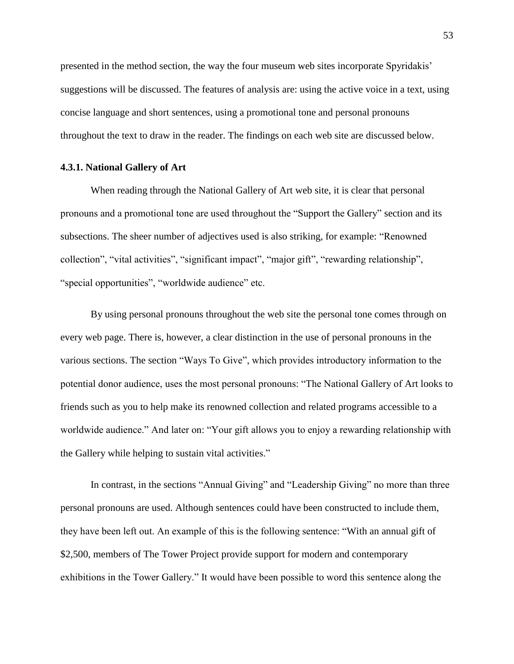presented in the method section, the way the four museum web sites incorporate Spyridakis' suggestions will be discussed. The features of analysis are: using the active voice in a text, using concise language and short sentences, using a promotional tone and personal pronouns throughout the text to draw in the reader. The findings on each web site are discussed below.

#### **4.3.1. National Gallery of Art**

When reading through the National Gallery of Art web site, it is clear that personal pronouns and a promotional tone are used throughout the "Support the Gallery" section and its subsections. The sheer number of adjectives used is also striking, for example: "Renowned collection", "vital activities", "significant impact", "major gift", "rewarding relationship", "special opportunities", "worldwide audience" etc.

By using personal pronouns throughout the web site the personal tone comes through on every web page. There is, however, a clear distinction in the use of personal pronouns in the various sections. The section "Ways To Give", which provides introductory information to the potential donor audience, uses the most personal pronouns: "The National Gallery of Art looks to friends such as you to help make its renowned collection and related programs accessible to a worldwide audience." And later on: "Your gift allows you to enjoy a rewarding relationship with the Gallery while helping to sustain vital activities."

In contrast, in the sections "Annual Giving" and "Leadership Giving" no more than three personal pronouns are used. Although sentences could have been constructed to include them, they have been left out. An example of this is the following sentence: "With an annual gift of \$2,500, members of The Tower Project provide support for modern and contemporary exhibitions in the Tower Gallery." It would have been possible to word this sentence along the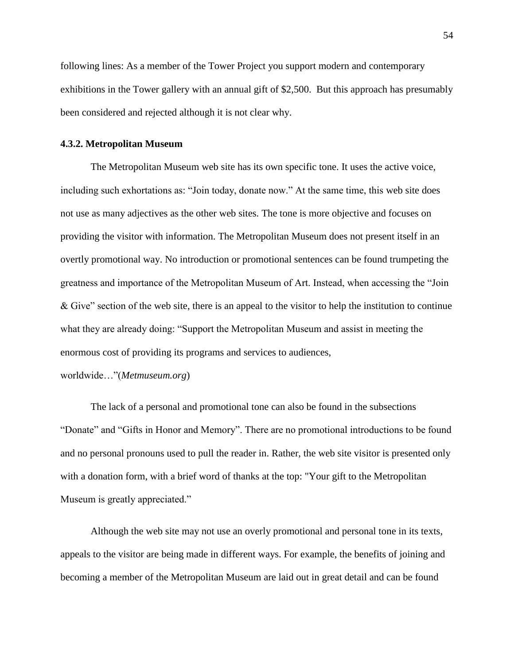following lines: As a member of the Tower Project you support modern and contemporary exhibitions in the Tower gallery with an annual gift of \$2,500. But this approach has presumably been considered and rejected although it is not clear why.

#### **4.3.2. Metropolitan Museum**

The Metropolitan Museum web site has its own specific tone. It uses the active voice, including such exhortations as: "Join today, donate now." At the same time, this web site does not use as many adjectives as the other web sites. The tone is more objective and focuses on providing the visitor with information. The Metropolitan Museum does not present itself in an overtly promotional way. No introduction or promotional sentences can be found trumpeting the greatness and importance of the Metropolitan Museum of Art. Instead, when accessing the "Join & Give" section of the web site, there is an appeal to the visitor to help the institution to continue what they are already doing: "Support the Metropolitan Museum and assist in meeting the enormous cost of providing its programs and services to audiences,

worldwide…"(*Metmuseum.org*)

The lack of a personal and promotional tone can also be found in the subsections "Donate" and "Gifts in Honor and Memory". There are no promotional introductions to be found and no personal pronouns used to pull the reader in. Rather, the web site visitor is presented only with a donation form, with a brief word of thanks at the top: "Your gift to the Metropolitan Museum is greatly appreciated."

Although the web site may not use an overly promotional and personal tone in its texts, appeals to the visitor are being made in different ways. For example, the benefits of joining and becoming a member of the Metropolitan Museum are laid out in great detail and can be found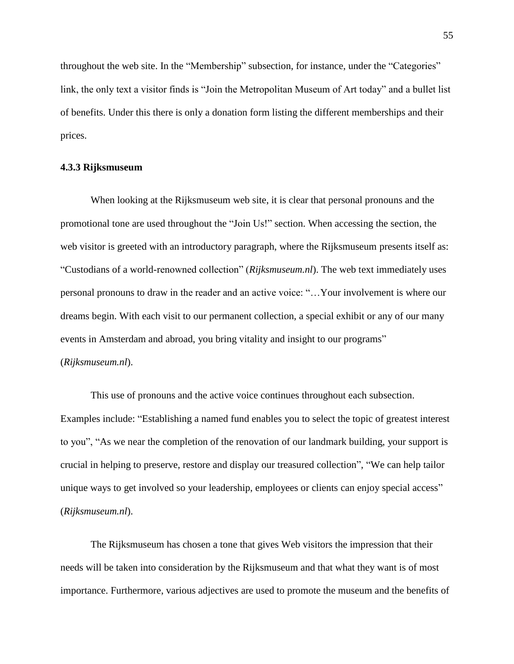throughout the web site. In the "Membership" subsection, for instance, under the "Categories" link, the only text a visitor finds is "Join the Metropolitan Museum of Art today" and a bullet list of benefits. Under this there is only a donation form listing the different memberships and their prices.

#### **4.3.3 Rijksmuseum**

When looking at the Rijksmuseum web site, it is clear that personal pronouns and the promotional tone are used throughout the "Join Us!" section. When accessing the section, the web visitor is greeted with an introductory paragraph, where the Rijksmuseum presents itself as: "Custodians of a world-renowned collection" (*Rijksmuseum.nl*). The web text immediately uses personal pronouns to draw in the reader and an active voice: "…Your involvement is where our dreams begin. With each visit to our permanent collection, a special exhibit or any of our many events in Amsterdam and abroad, you bring vitality and insight to our programs" (*Rijksmuseum.nl*).

This use of pronouns and the active voice continues throughout each subsection. Examples include: "Establishing a named fund enables you to select the topic of greatest interest to you", "As we near the completion of the renovation of our landmark building, your support is crucial in helping to preserve, restore and display our treasured collection", "We can help tailor unique ways to get involved so your leadership, employees or clients can enjoy special access" (*Rijksmuseum.nl*).

The Rijksmuseum has chosen a tone that gives Web visitors the impression that their needs will be taken into consideration by the Rijksmuseum and that what they want is of most importance. Furthermore, various adjectives are used to promote the museum and the benefits of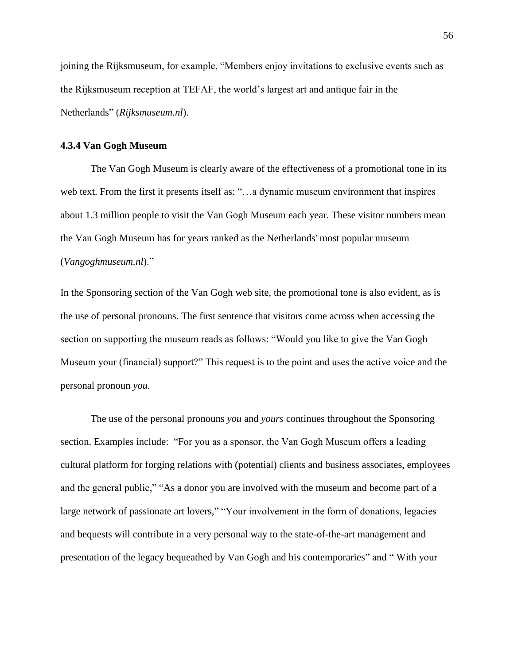joining the Rijksmuseum, for example, "Members enjoy invitations to exclusive events such as the Rijksmuseum reception at TEFAF, the world's largest art and antique fair in the Netherlands" (*Rijksmuseum.nl*).

## **4.3.4 Van Gogh Museum**

The Van Gogh Museum is clearly aware of the effectiveness of a promotional tone in its web text. From the first it presents itself as: "…a dynamic museum environment that inspires about 1.3 million people to visit the Van Gogh Museum each year. These visitor numbers mean the Van Gogh Museum has for years ranked as the Netherlands' most popular museum (*Vangoghmuseum.nl*)."

In the Sponsoring section of the Van Gogh web site, the promotional tone is also evident, as is the use of personal pronouns. The first sentence that visitors come across when accessing the section on supporting the museum reads as follows: "Would you like to give the Van Gogh Museum your (financial) support?" This request is to the point and uses the active voice and the personal pronoun *you*.

The use of the personal pronouns *you* and *yours* continues throughout the Sponsoring section. Examples include: "For you as a sponsor, the Van Gogh Museum offers a leading cultural platform for forging relations with (potential) clients and business associates, employees and the general public," "As a donor you are involved with the museum and become part of a large network of passionate art lovers," "Your involvement in the form of donations, legacies and bequests will contribute in a very personal way to the state-of-the-art management and presentation of the legacy bequeathed by Van Gogh and his contemporaries" and " With your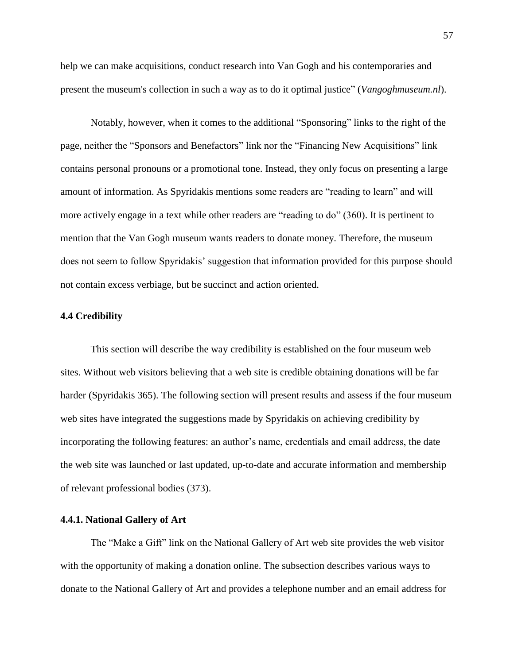help we can make acquisitions, conduct research into Van Gogh and his contemporaries and present the museum's collection in such a way as to do it optimal justice" (*Vangoghmuseum.nl*).

Notably, however, when it comes to the additional "Sponsoring" links to the right of the page, neither the "Sponsors and Benefactors" link nor the "Financing New Acquisitions" link contains personal pronouns or a promotional tone. Instead, they only focus on presenting a large amount of information. As Spyridakis mentions some readers are "reading to learn" and will more actively engage in a text while other readers are "reading to do" (360). It is pertinent to mention that the Van Gogh museum wants readers to donate money. Therefore, the museum does not seem to follow Spyridakis' suggestion that information provided for this purpose should not contain excess verbiage, but be succinct and action oriented.

#### **4.4 Credibility**

This section will describe the way credibility is established on the four museum web sites. Without web visitors believing that a web site is credible obtaining donations will be far harder (Spyridakis 365). The following section will present results and assess if the four museum web sites have integrated the suggestions made by Spyridakis on achieving credibility by incorporating the following features: an author's name, credentials and email address, the date the web site was launched or last updated, up-to-date and accurate information and membership of relevant professional bodies (373).

#### **4.4.1. National Gallery of Art**

The "Make a Gift" link on the National Gallery of Art web site provides the web visitor with the opportunity of making a donation online. The subsection describes various ways to donate to the National Gallery of Art and provides a telephone number and an email address for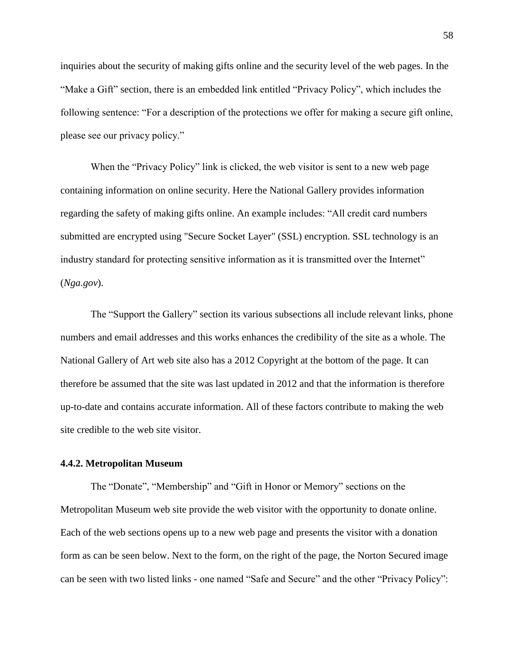inquiries about the security of making gifts online and the security level of the web pages. In the "Make a Gift" section, there is an embedded link entitled "Privacy Policy", which includes the following sentence: "For a description of the protections we offer for making a secure gift online, please see our privacy policy."

When the "Privacy Policy" link is clicked, the web visitor is sent to a new web page containing information on online security. Here the National Gallery provides information regarding the safety of making gifts online. An example includes: "All credit card numbers submitted are encrypted using "Secure Socket Layer" (SSL) encryption. SSL technology is an industry standard for protecting sensitive information as it is transmitted over the Internet" (*Nga.gov*).

The "Support the Gallery" section its various subsections all include relevant links, phone numbers and email addresses and this works enhances the credibility of the site as a whole. The National Gallery of Art web site also has a 2012 Copyright at the bottom of the page. It can therefore be assumed that the site was last updated in 2012 and that the information is therefore up-to-date and contains accurate information. All of these factors contribute to making the web site credible to the web site visitor.

#### **4.4.2. Metropolitan Museum**

The "Donate", "Membership" and "Gift in Honor or Memory" sections on the Metropolitan Museum web site provide the web visitor with the opportunity to donate online. Each of the web sections opens up to a new web page and presents the visitor with a donation form as can be seen below. Next to the form, on the right of the page, the Norton Secured image can be seen with two listed links - one named "Safe and Secure" and the other "Privacy Policy":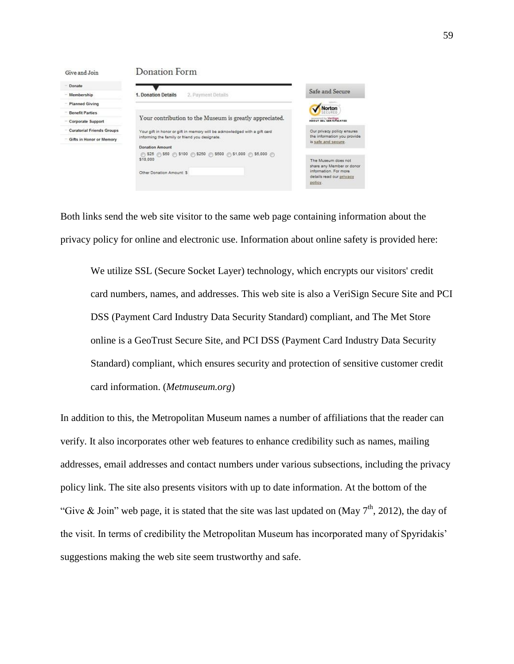| Give and Join                    | Donation Form                                                                                        |                                                                                                                 |
|----------------------------------|------------------------------------------------------------------------------------------------------|-----------------------------------------------------------------------------------------------------------------|
| Donate                           |                                                                                                      |                                                                                                                 |
| Membership                       | 1. Donation Details<br>2. Payment Details                                                            | Safe and Secure                                                                                                 |
| <b>Planned Giving</b>            |                                                                                                      | Norton                                                                                                          |
| <b>Benefit Parties</b>           |                                                                                                      |                                                                                                                 |
| Corporate Support                | Your contribution to the Museum is greatly appreciated.                                              | <b>CONTROL By Variages</b>                                                                                      |
| <b>Curatorial Friends Groups</b> | Your gift in honor or gift in memory will be admowledged with a gift card                            | Our privacy policy ensures.                                                                                     |
| Gifts in Honor or Memory         | informing the family or friend you designate.                                                        | the information you provide<br>is safe and secure.                                                              |
|                                  | Donation Amount                                                                                      |                                                                                                                 |
|                                  | @ \$25 @ \$50 @ \$100 @ \$250 @ \$500 @ \$1,000 @ \$5,000 @<br>\$10,000<br>Other Donation Amount: \$ | The Museum does not<br>share any Member or dono<br>information. For more<br>details read our privacy<br>policy. |

Both links send the web site visitor to the same web page containing information about the privacy policy for online and electronic use. Information about online safety is provided here:

We utilize SSL (Secure Socket Layer) technology, which encrypts our visitors' credit card numbers, names, and addresses. This web site is also a VeriSign Secure Site and PCI DSS (Payment Card Industry Data Security Standard) compliant, and The Met Store online is a GeoTrust Secure Site, and PCI DSS (Payment Card Industry Data Security Standard) compliant, which ensures security and protection of sensitive customer credit card information. (*Metmuseum.org*)

In addition to this, the Metropolitan Museum names a number of affiliations that the reader can verify. It also incorporates other web features to enhance credibility such as names, mailing addresses, email addresses and contact numbers under various subsections, including the privacy policy link. The site also presents visitors with up to date information. At the bottom of the "Give & Join" web page, it is stated that the site was last updated on (May  $7<sup>th</sup>$ , 2012), the day of the visit. In terms of credibility the Metropolitan Museum has incorporated many of Spyridakis' suggestions making the web site seem trustworthy and safe.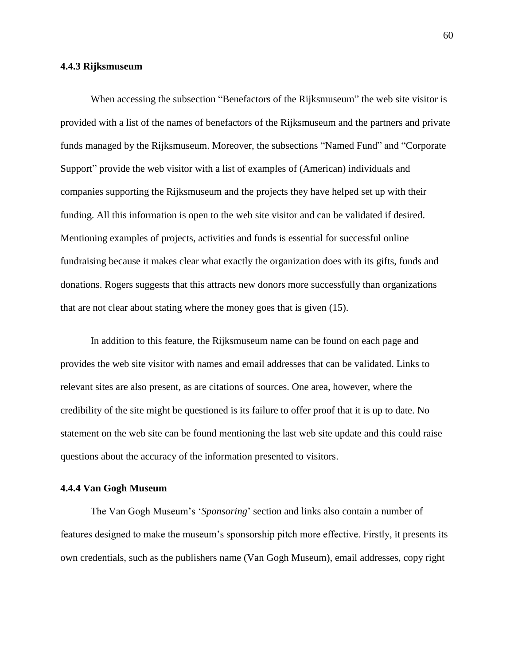#### **4.4.3 Rijksmuseum**

When accessing the subsection "Benefactors of the Rijksmuseum" the web site visitor is provided with a list of the names of benefactors of the Rijksmuseum and the partners and private funds managed by the Rijksmuseum. Moreover, the subsections "Named Fund" and "Corporate Support" provide the web visitor with a list of examples of (American) individuals and companies supporting the Rijksmuseum and the projects they have helped set up with their funding. All this information is open to the web site visitor and can be validated if desired. Mentioning examples of projects, activities and funds is essential for successful online fundraising because it makes clear what exactly the organization does with its gifts, funds and donations. Rogers suggests that this attracts new donors more successfully than organizations that are not clear about stating where the money goes that is given (15).

In addition to this feature, the Rijksmuseum name can be found on each page and provides the web site visitor with names and email addresses that can be validated. Links to relevant sites are also present, as are citations of sources. One area, however, where the credibility of the site might be questioned is its failure to offer proof that it is up to date. No statement on the web site can be found mentioning the last web site update and this could raise questions about the accuracy of the information presented to visitors.

#### **4.4.4 Van Gogh Museum**

The Van Gogh Museum's '*Sponsoring*' section and links also contain a number of features designed to make the museum's sponsorship pitch more effective. Firstly, it presents its own credentials, such as the publishers name (Van Gogh Museum), email addresses, copy right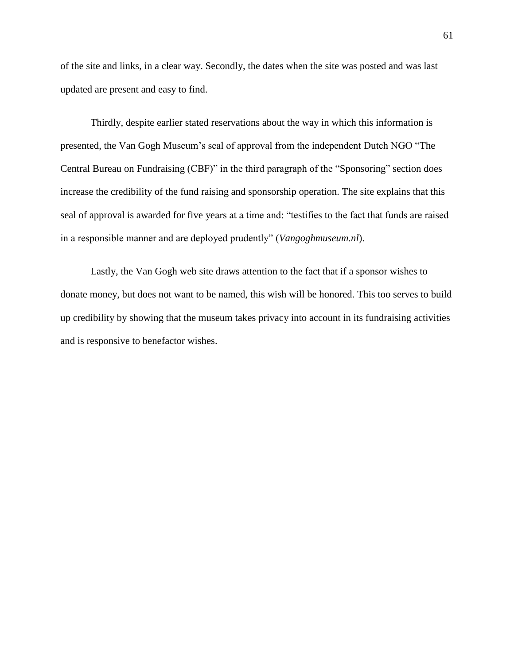of the site and links, in a clear way. Secondly, the dates when the site was posted and was last updated are present and easy to find.

Thirdly, despite earlier stated reservations about the way in which this information is presented, the Van Gogh Museum's seal of approval from the independent Dutch NGO "The Central Bureau on Fundraising (CBF)" in the third paragraph of the "Sponsoring" section does increase the credibility of the fund raising and sponsorship operation. The site explains that this seal of approval is awarded for five years at a time and: "testifies to the fact that funds are raised in a responsible manner and are deployed prudently" (*Vangoghmuseum.nl*).

Lastly, the Van Gogh web site draws attention to the fact that if a sponsor wishes to donate money, but does not want to be named, this wish will be honored. This too serves to build up credibility by showing that the museum takes privacy into account in its fundraising activities and is responsive to benefactor wishes.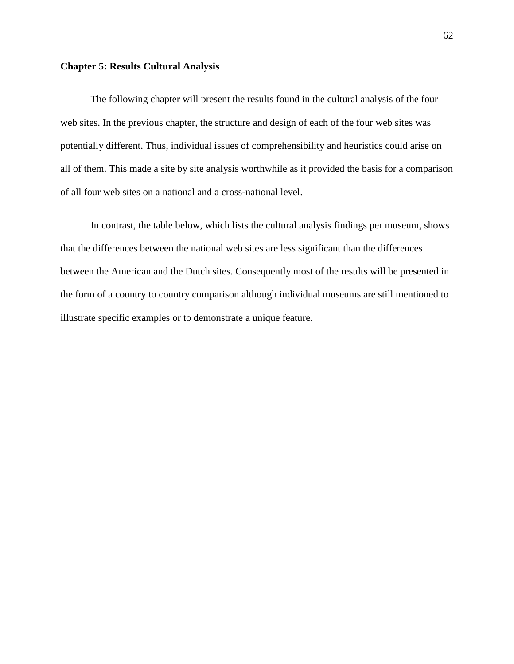#### **Chapter 5: Results Cultural Analysis**

The following chapter will present the results found in the cultural analysis of the four web sites. In the previous chapter, the structure and design of each of the four web sites was potentially different. Thus, individual issues of comprehensibility and heuristics could arise on all of them. This made a site by site analysis worthwhile as it provided the basis for a comparison of all four web sites on a national and a cross-national level.

In contrast, the table below, which lists the cultural analysis findings per museum, shows that the differences between the national web sites are less significant than the differences between the American and the Dutch sites. Consequently most of the results will be presented in the form of a country to country comparison although individual museums are still mentioned to illustrate specific examples or to demonstrate a unique feature.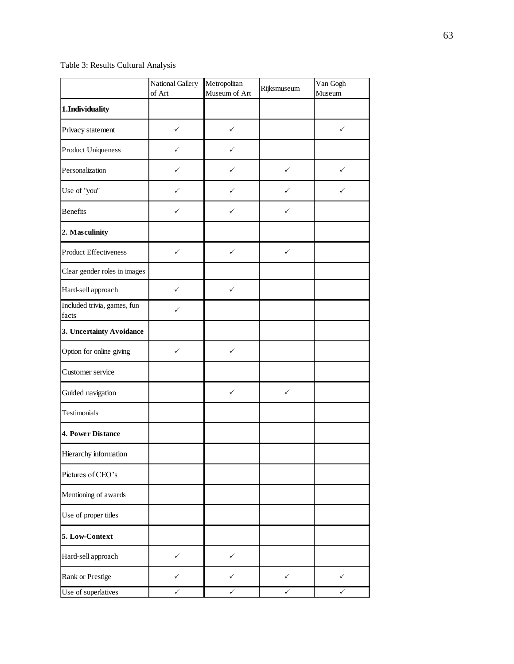## Table 3: Results Cultural Analysis

|                                      | National Gallery<br>of Art | Metropolitan<br>Museum of Art | Rijksmuseum  | Van Gogh<br>Museum |
|--------------------------------------|----------------------------|-------------------------------|--------------|--------------------|
| 1.Individuality                      |                            |                               |              |                    |
| Privacy statement                    | $\checkmark$               | ✓                             |              | $\checkmark$       |
| <b>Product Uniqueness</b>            | ✓                          | ✓                             |              |                    |
| Personalization                      | $\checkmark$               | ✓                             | $\checkmark$ | $\checkmark$       |
| Use of "you"                         | $\checkmark$               | ✓                             | ✓            | $\checkmark$       |
| <b>Benefits</b>                      | ✓                          | ✓                             | ✓            |                    |
| 2. Masculinity                       |                            |                               |              |                    |
| <b>Product Effectiveness</b>         | $\checkmark$               | $\checkmark$                  | $\checkmark$ |                    |
| Clear gender roles in images         |                            |                               |              |                    |
| Hard-sell approach                   | $\checkmark$               | ✓                             |              |                    |
| Included trivia, games, fun<br>facts | ✓                          |                               |              |                    |
| 3. Uncertainty Avoidance             |                            |                               |              |                    |
| Option for online giving             | $\checkmark$               | $\checkmark$                  |              |                    |
| Customer service                     |                            |                               |              |                    |
| Guided navigation                    |                            | ✓                             | ✓            |                    |
| Testimonials                         |                            |                               |              |                    |
| 4. Power Distance                    |                            |                               |              |                    |
| Hierarchy information                |                            |                               |              |                    |
| Pictures of CEO's                    |                            |                               |              |                    |
| Mentioning of awards                 |                            |                               |              |                    |
| Use of proper titles                 |                            |                               |              |                    |
| 5. Low-Context                       |                            |                               |              |                    |
| Hard-sell approach                   | $\checkmark$               | $\checkmark$                  |              |                    |
| <b>Rank or Prestige</b>              | ✓                          | ✓                             | ✓            | ✓                  |
| Use of superlatives                  | ✓                          | ✓                             | ✓            | ✓                  |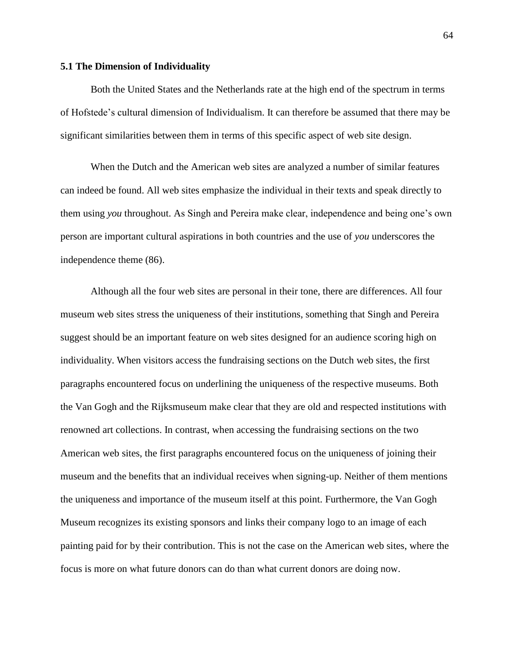#### **5.1 The Dimension of Individuality**

Both the United States and the Netherlands rate at the high end of the spectrum in terms of Hofstede's cultural dimension of Individualism. It can therefore be assumed that there may be significant similarities between them in terms of this specific aspect of web site design.

When the Dutch and the American web sites are analyzed a number of similar features can indeed be found. All web sites emphasize the individual in their texts and speak directly to them using *you* throughout. As Singh and Pereira make clear, independence and being one's own person are important cultural aspirations in both countries and the use of *you* underscores the independence theme (86).

Although all the four web sites are personal in their tone, there are differences. All four museum web sites stress the uniqueness of their institutions, something that Singh and Pereira suggest should be an important feature on web sites designed for an audience scoring high on individuality. When visitors access the fundraising sections on the Dutch web sites, the first paragraphs encountered focus on underlining the uniqueness of the respective museums. Both the Van Gogh and the Rijksmuseum make clear that they are old and respected institutions with renowned art collections. In contrast, when accessing the fundraising sections on the two American web sites, the first paragraphs encountered focus on the uniqueness of joining their museum and the benefits that an individual receives when signing-up. Neither of them mentions the uniqueness and importance of the museum itself at this point. Furthermore, the Van Gogh Museum recognizes its existing sponsors and links their company logo to an image of each painting paid for by their contribution. This is not the case on the American web sites, where the focus is more on what future donors can do than what current donors are doing now.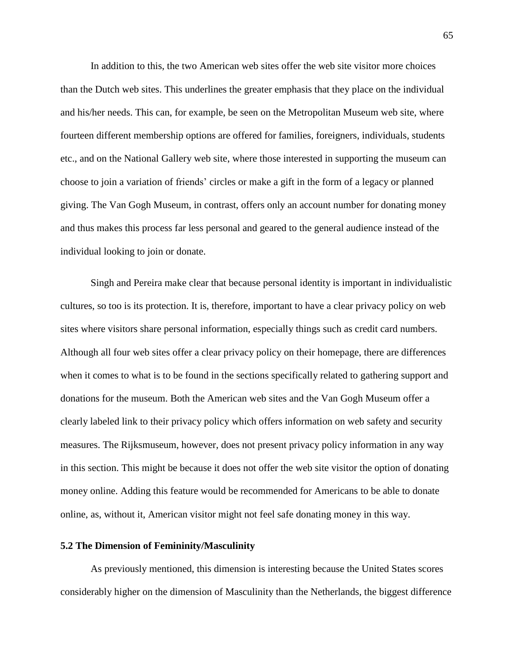In addition to this, the two American web sites offer the web site visitor more choices than the Dutch web sites. This underlines the greater emphasis that they place on the individual and his/her needs. This can, for example, be seen on the Metropolitan Museum web site, where fourteen different membership options are offered for families, foreigners, individuals, students etc., and on the National Gallery web site, where those interested in supporting the museum can choose to join a variation of friends' circles or make a gift in the form of a legacy or planned giving. The Van Gogh Museum, in contrast, offers only an account number for donating money and thus makes this process far less personal and geared to the general audience instead of the individual looking to join or donate.

Singh and Pereira make clear that because personal identity is important in individualistic cultures, so too is its protection. It is, therefore, important to have a clear privacy policy on web sites where visitors share personal information, especially things such as credit card numbers. Although all four web sites offer a clear privacy policy on their homepage, there are differences when it comes to what is to be found in the sections specifically related to gathering support and donations for the museum. Both the American web sites and the Van Gogh Museum offer a clearly labeled link to their privacy policy which offers information on web safety and security measures. The Rijksmuseum, however, does not present privacy policy information in any way in this section. This might be because it does not offer the web site visitor the option of donating money online. Adding this feature would be recommended for Americans to be able to donate online, as, without it, American visitor might not feel safe donating money in this way.

#### **5.2 The Dimension of Femininity/Masculinity**

As previously mentioned, this dimension is interesting because the United States scores considerably higher on the dimension of Masculinity than the Netherlands, the biggest difference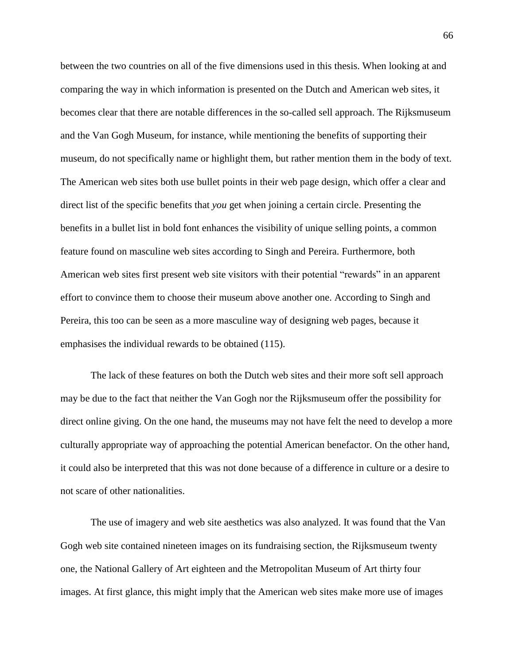between the two countries on all of the five dimensions used in this thesis. When looking at and comparing the way in which information is presented on the Dutch and American web sites, it becomes clear that there are notable differences in the so-called sell approach. The Rijksmuseum and the Van Gogh Museum, for instance, while mentioning the benefits of supporting their museum, do not specifically name or highlight them, but rather mention them in the body of text. The American web sites both use bullet points in their web page design, which offer a clear and direct list of the specific benefits that *you* get when joining a certain circle. Presenting the benefits in a bullet list in bold font enhances the visibility of unique selling points, a common feature found on masculine web sites according to Singh and Pereira. Furthermore, both American web sites first present web site visitors with their potential "rewards" in an apparent effort to convince them to choose their museum above another one. According to Singh and Pereira, this too can be seen as a more masculine way of designing web pages, because it emphasises the individual rewards to be obtained (115).

The lack of these features on both the Dutch web sites and their more soft sell approach may be due to the fact that neither the Van Gogh nor the Rijksmuseum offer the possibility for direct online giving. On the one hand, the museums may not have felt the need to develop a more culturally appropriate way of approaching the potential American benefactor. On the other hand, it could also be interpreted that this was not done because of a difference in culture or a desire to not scare of other nationalities.

The use of imagery and web site aesthetics was also analyzed. It was found that the Van Gogh web site contained nineteen images on its fundraising section, the Rijksmuseum twenty one, the National Gallery of Art eighteen and the Metropolitan Museum of Art thirty four images. At first glance, this might imply that the American web sites make more use of images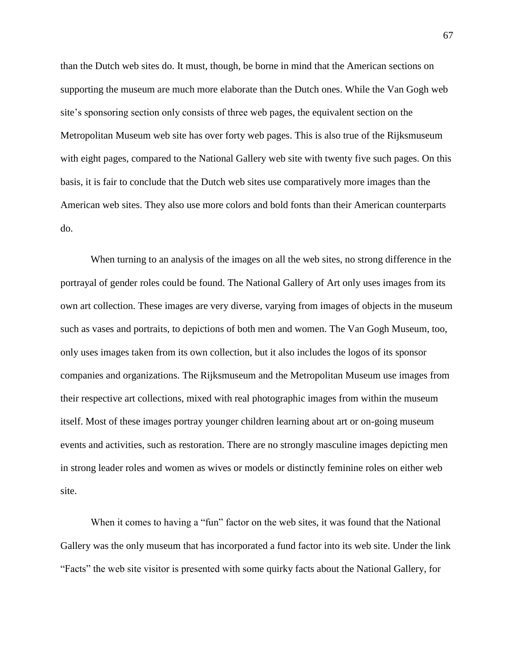than the Dutch web sites do. It must, though, be borne in mind that the American sections on supporting the museum are much more elaborate than the Dutch ones. While the Van Gogh web site's sponsoring section only consists of three web pages, the equivalent section on the Metropolitan Museum web site has over forty web pages. This is also true of the Rijksmuseum with eight pages, compared to the National Gallery web site with twenty five such pages. On this basis, it is fair to conclude that the Dutch web sites use comparatively more images than the American web sites. They also use more colors and bold fonts than their American counterparts do.

When turning to an analysis of the images on all the web sites, no strong difference in the portrayal of gender roles could be found. The National Gallery of Art only uses images from its own art collection. These images are very diverse, varying from images of objects in the museum such as vases and portraits, to depictions of both men and women. The Van Gogh Museum, too, only uses images taken from its own collection, but it also includes the logos of its sponsor companies and organizations. The Rijksmuseum and the Metropolitan Museum use images from their respective art collections, mixed with real photographic images from within the museum itself. Most of these images portray younger children learning about art or on-going museum events and activities, such as restoration. There are no strongly masculine images depicting men in strong leader roles and women as wives or models or distinctly feminine roles on either web site.

When it comes to having a "fun" factor on the web sites, it was found that the National Gallery was the only museum that has incorporated a fund factor into its web site. Under the link "Facts" the web site visitor is presented with some quirky facts about the National Gallery, for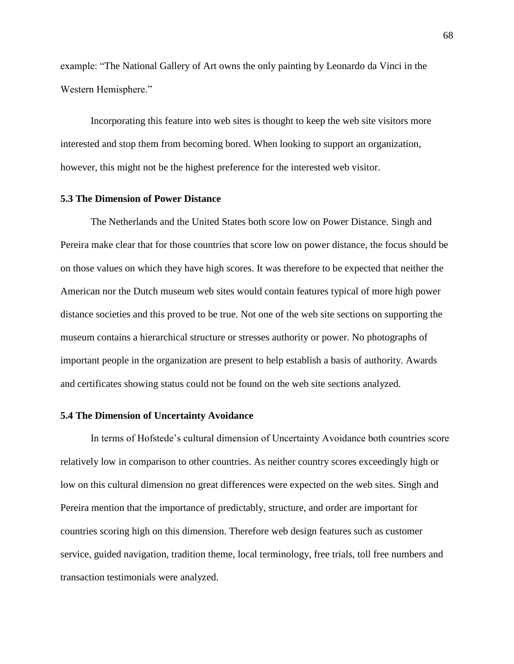example: "The National Gallery of Art owns the only painting by Leonardo da Vinci in the Western Hemisphere."

Incorporating this feature into web sites is thought to keep the web site visitors more interested and stop them from becoming bored. When looking to support an organization, however, this might not be the highest preference for the interested web visitor.

# **5.3 The Dimension of Power Distance**

The Netherlands and the United States both score low on Power Distance. Singh and Pereira make clear that for those countries that score low on power distance, the focus should be on those values on which they have high scores. It was therefore to be expected that neither the American nor the Dutch museum web sites would contain features typical of more high power distance societies and this proved to be true. Not one of the web site sections on supporting the museum contains a hierarchical structure or stresses authority or power. No photographs of important people in the organization are present to help establish a basis of authority. Awards and certificates showing status could not be found on the web site sections analyzed.

#### **5.4 The Dimension of Uncertainty Avoidance**

In terms of Hofstede's cultural dimension of Uncertainty Avoidance both countries score relatively low in comparison to other countries. As neither country scores exceedingly high or low on this cultural dimension no great differences were expected on the web sites. Singh and Pereira mention that the importance of predictably, structure, and order are important for countries scoring high on this dimension. Therefore web design features such as customer service, guided navigation, tradition theme, local terminology, free trials, toll free numbers and transaction testimonials were analyzed.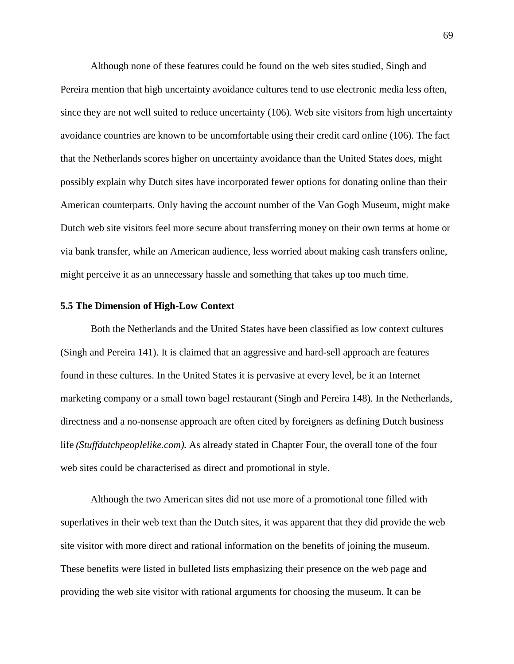Although none of these features could be found on the web sites studied, Singh and Pereira mention that high uncertainty avoidance cultures tend to use electronic media less often, since they are not well suited to reduce uncertainty (106). Web site visitors from high uncertainty avoidance countries are known to be uncomfortable using their credit card online (106). The fact that the Netherlands scores higher on uncertainty avoidance than the United States does, might possibly explain why Dutch sites have incorporated fewer options for donating online than their American counterparts. Only having the account number of the Van Gogh Museum, might make Dutch web site visitors feel more secure about transferring money on their own terms at home or via bank transfer, while an American audience, less worried about making cash transfers online, might perceive it as an unnecessary hassle and something that takes up too much time.

# **5.5 The Dimension of High-Low Context**

Both the Netherlands and the United States have been classified as low context cultures (Singh and Pereira 141). It is claimed that an aggressive and hard-sell approach are features found in these cultures. In the United States it is pervasive at every level, be it an Internet marketing company or a small town bagel restaurant (Singh and Pereira 148). In the Netherlands, directness and a no-nonsense approach are often cited by foreigners as defining Dutch business life *(Stuffdutchpeoplelike.com).* As already stated in Chapter Four, the overall tone of the four web sites could be characterised as direct and promotional in style.

Although the two American sites did not use more of a promotional tone filled with superlatives in their web text than the Dutch sites, it was apparent that they did provide the web site visitor with more direct and rational information on the benefits of joining the museum. These benefits were listed in bulleted lists emphasizing their presence on the web page and providing the web site visitor with rational arguments for choosing the museum. It can be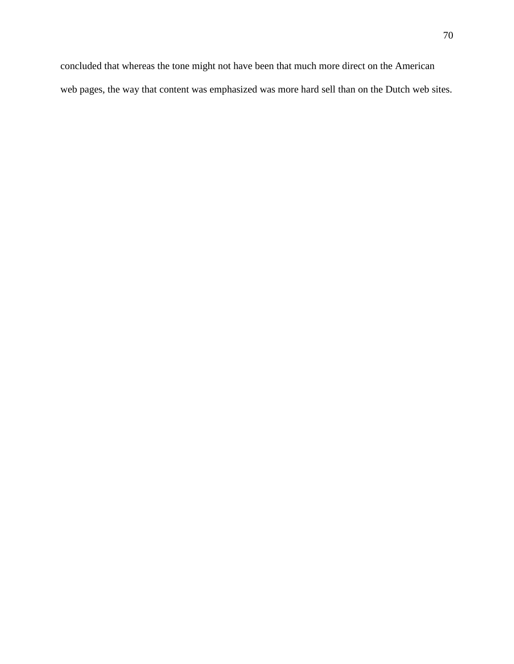concluded that whereas the tone might not have been that much more direct on the American web pages, the way that content was emphasized was more hard sell than on the Dutch web sites.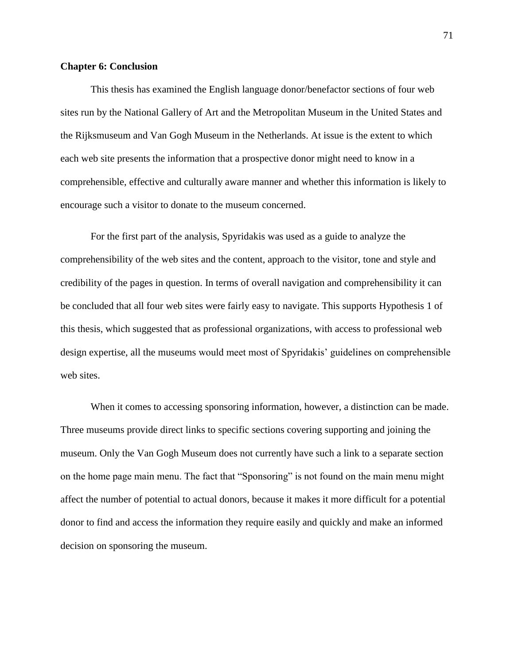# **Chapter 6: Conclusion**

This thesis has examined the English language donor/benefactor sections of four web sites run by the National Gallery of Art and the Metropolitan Museum in the United States and the Rijksmuseum and Van Gogh Museum in the Netherlands. At issue is the extent to which each web site presents the information that a prospective donor might need to know in a comprehensible, effective and culturally aware manner and whether this information is likely to encourage such a visitor to donate to the museum concerned.

For the first part of the analysis, Spyridakis was used as a guide to analyze the comprehensibility of the web sites and the content, approach to the visitor, tone and style and credibility of the pages in question. In terms of overall navigation and comprehensibility it can be concluded that all four web sites were fairly easy to navigate. This supports Hypothesis 1 of this thesis, which suggested that as professional organizations, with access to professional web design expertise, all the museums would meet most of Spyridakis' guidelines on comprehensible web sites.

When it comes to accessing sponsoring information, however, a distinction can be made. Three museums provide direct links to specific sections covering supporting and joining the museum. Only the Van Gogh Museum does not currently have such a link to a separate section on the home page main menu. The fact that "Sponsoring" is not found on the main menu might affect the number of potential to actual donors, because it makes it more difficult for a potential donor to find and access the information they require easily and quickly and make an informed decision on sponsoring the museum.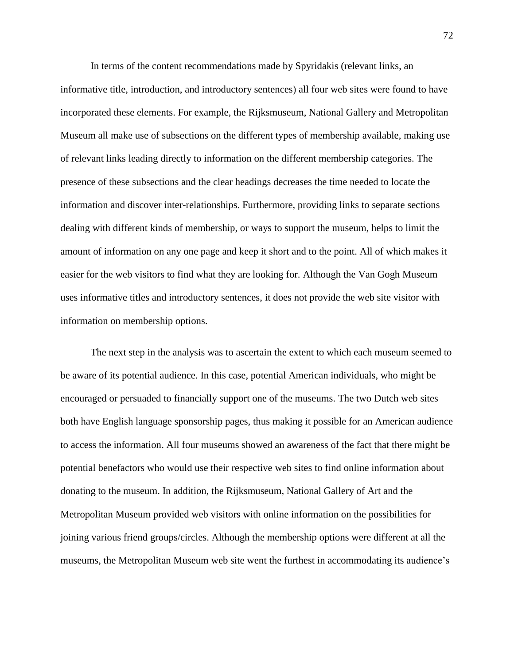In terms of the content recommendations made by Spyridakis (relevant links, an informative title, introduction, and introductory sentences) all four web sites were found to have incorporated these elements. For example, the Rijksmuseum, National Gallery and Metropolitan Museum all make use of subsections on the different types of membership available, making use of relevant links leading directly to information on the different membership categories. The presence of these subsections and the clear headings decreases the time needed to locate the information and discover inter-relationships. Furthermore, providing links to separate sections dealing with different kinds of membership, or ways to support the museum, helps to limit the amount of information on any one page and keep it short and to the point. All of which makes it easier for the web visitors to find what they are looking for. Although the Van Gogh Museum uses informative titles and introductory sentences, it does not provide the web site visitor with information on membership options.

The next step in the analysis was to ascertain the extent to which each museum seemed to be aware of its potential audience. In this case, potential American individuals, who might be encouraged or persuaded to financially support one of the museums. The two Dutch web sites both have English language sponsorship pages, thus making it possible for an American audience to access the information. All four museums showed an awareness of the fact that there might be potential benefactors who would use their respective web sites to find online information about donating to the museum. In addition, the Rijksmuseum, National Gallery of Art and the Metropolitan Museum provided web visitors with online information on the possibilities for joining various friend groups/circles. Although the membership options were different at all the museums, the Metropolitan Museum web site went the furthest in accommodating its audience's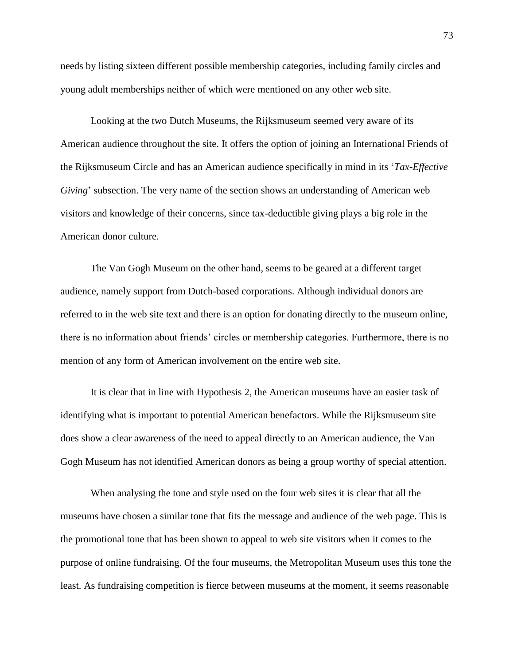needs by listing sixteen different possible membership categories, including family circles and young adult memberships neither of which were mentioned on any other web site.

Looking at the two Dutch Museums, the Rijksmuseum seemed very aware of its American audience throughout the site. It offers the option of joining an International Friends of the Rijksmuseum Circle and has an American audience specifically in mind in its '*Tax-Effective Giving*' subsection. The very name of the section shows an understanding of American web visitors and knowledge of their concerns, since tax-deductible giving plays a big role in the American donor culture.

The Van Gogh Museum on the other hand, seems to be geared at a different target audience, namely support from Dutch-based corporations. Although individual donors are referred to in the web site text and there is an option for donating directly to the museum online, there is no information about friends' circles or membership categories. Furthermore, there is no mention of any form of American involvement on the entire web site.

It is clear that in line with Hypothesis 2, the American museums have an easier task of identifying what is important to potential American benefactors. While the Rijksmuseum site does show a clear awareness of the need to appeal directly to an American audience, the Van Gogh Museum has not identified American donors as being a group worthy of special attention.

When analysing the tone and style used on the four web sites it is clear that all the museums have chosen a similar tone that fits the message and audience of the web page. This is the promotional tone that has been shown to appeal to web site visitors when it comes to the purpose of online fundraising. Of the four museums, the Metropolitan Museum uses this tone the least. As fundraising competition is fierce between museums at the moment, it seems reasonable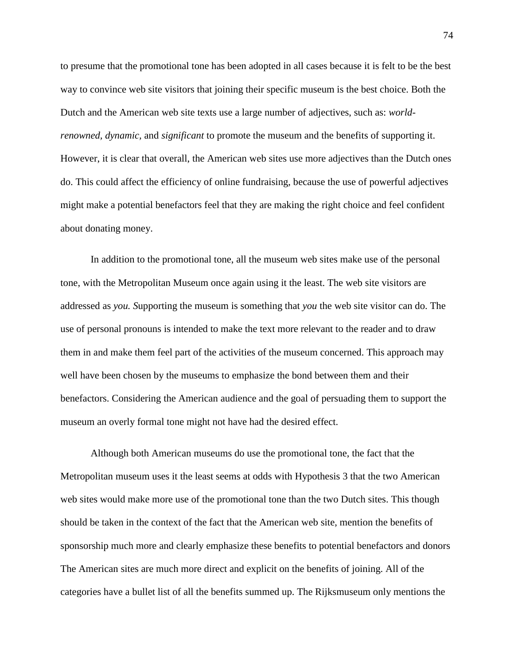to presume that the promotional tone has been adopted in all cases because it is felt to be the best way to convince web site visitors that joining their specific museum is the best choice. Both the Dutch and the American web site texts use a large number of adjectives, such as: *worldrenowned, dynamic,* and *significant* to promote the museum and the benefits of supporting it. However, it is clear that overall, the American web sites use more adjectives than the Dutch ones do. This could affect the efficiency of online fundraising, because the use of powerful adjectives might make a potential benefactors feel that they are making the right choice and feel confident about donating money.

In addition to the promotional tone, all the museum web sites make use of the personal tone, with the Metropolitan Museum once again using it the least. The web site visitors are addressed as *you. S*upporting the museum is something that *you* the web site visitor can do. The use of personal pronouns is intended to make the text more relevant to the reader and to draw them in and make them feel part of the activities of the museum concerned. This approach may well have been chosen by the museums to emphasize the bond between them and their benefactors. Considering the American audience and the goal of persuading them to support the museum an overly formal tone might not have had the desired effect.

Although both American museums do use the promotional tone, the fact that the Metropolitan museum uses it the least seems at odds with Hypothesis 3 that the two American web sites would make more use of the promotional tone than the two Dutch sites. This though should be taken in the context of the fact that the American web site, mention the benefits of sponsorship much more and clearly emphasize these benefits to potential benefactors and donors The American sites are much more direct and explicit on the benefits of joining. All of the categories have a bullet list of all the benefits summed up. The Rijksmuseum only mentions the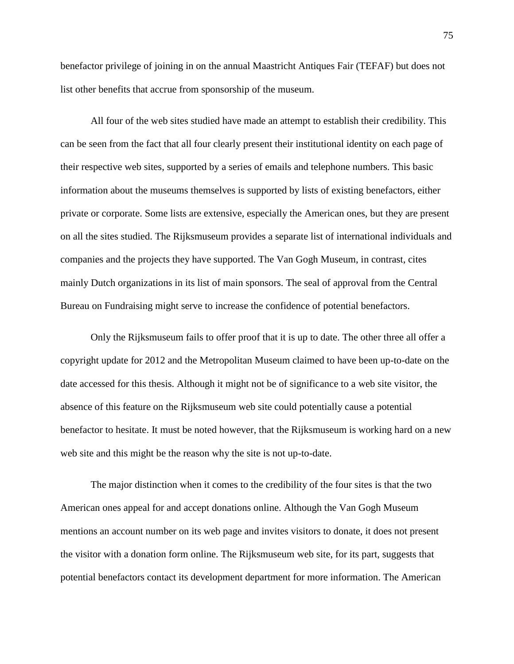benefactor privilege of joining in on the annual Maastricht Antiques Fair (TEFAF) but does not list other benefits that accrue from sponsorship of the museum.

All four of the web sites studied have made an attempt to establish their credibility. This can be seen from the fact that all four clearly present their institutional identity on each page of their respective web sites, supported by a series of emails and telephone numbers. This basic information about the museums themselves is supported by lists of existing benefactors, either private or corporate. Some lists are extensive, especially the American ones, but they are present on all the sites studied. The Rijksmuseum provides a separate list of international individuals and companies and the projects they have supported. The Van Gogh Museum, in contrast, cites mainly Dutch organizations in its list of main sponsors. The seal of approval from the Central Bureau on Fundraising might serve to increase the confidence of potential benefactors.

Only the Rijksmuseum fails to offer proof that it is up to date. The other three all offer a copyright update for 2012 and the Metropolitan Museum claimed to have been up-to-date on the date accessed for this thesis. Although it might not be of significance to a web site visitor, the absence of this feature on the Rijksmuseum web site could potentially cause a potential benefactor to hesitate. It must be noted however, that the Rijksmuseum is working hard on a new web site and this might be the reason why the site is not up-to-date.

The major distinction when it comes to the credibility of the four sites is that the two American ones appeal for and accept donations online. Although the Van Gogh Museum mentions an account number on its web page and invites visitors to donate, it does not present the visitor with a donation form online. The Rijksmuseum web site, for its part, suggests that potential benefactors contact its development department for more information. The American

75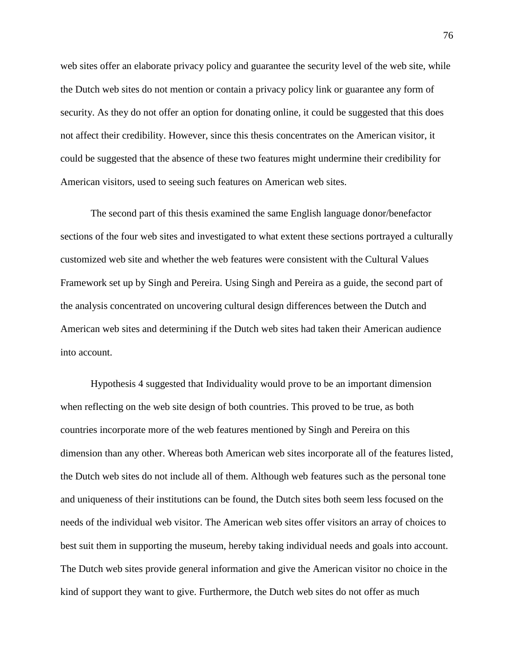web sites offer an elaborate privacy policy and guarantee the security level of the web site, while the Dutch web sites do not mention or contain a privacy policy link or guarantee any form of security. As they do not offer an option for donating online, it could be suggested that this does not affect their credibility. However, since this thesis concentrates on the American visitor, it could be suggested that the absence of these two features might undermine their credibility for American visitors, used to seeing such features on American web sites.

The second part of this thesis examined the same English language donor/benefactor sections of the four web sites and investigated to what extent these sections portrayed a culturally customized web site and whether the web features were consistent with the Cultural Values Framework set up by Singh and Pereira. Using Singh and Pereira as a guide, the second part of the analysis concentrated on uncovering cultural design differences between the Dutch and American web sites and determining if the Dutch web sites had taken their American audience into account.

Hypothesis 4 suggested that Individuality would prove to be an important dimension when reflecting on the web site design of both countries. This proved to be true, as both countries incorporate more of the web features mentioned by Singh and Pereira on this dimension than any other. Whereas both American web sites incorporate all of the features listed, the Dutch web sites do not include all of them. Although web features such as the personal tone and uniqueness of their institutions can be found, the Dutch sites both seem less focused on the needs of the individual web visitor. The American web sites offer visitors an array of choices to best suit them in supporting the museum, hereby taking individual needs and goals into account. The Dutch web sites provide general information and give the American visitor no choice in the kind of support they want to give. Furthermore, the Dutch web sites do not offer as much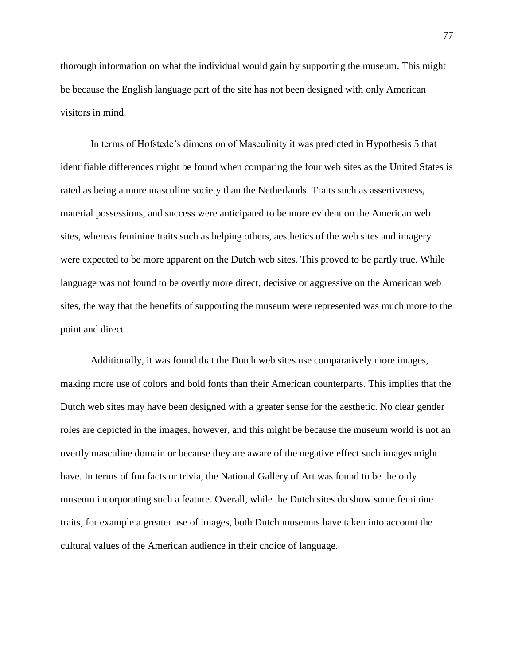thorough information on what the individual would gain by supporting the museum. This might be because the English language part of the site has not been designed with only American visitors in mind.

In terms of Hofstede's dimension of Masculinity it was predicted in Hypothesis 5 that identifiable differences might be found when comparing the four web sites as the United States is rated as being a more masculine society than the Netherlands. Traits such as assertiveness, material possessions, and success were anticipated to be more evident on the American web sites, whereas feminine traits such as helping others, aesthetics of the web sites and imagery were expected to be more apparent on the Dutch web sites. This proved to be partly true. While language was not found to be overtly more direct, decisive or aggressive on the American web sites, the way that the benefits of supporting the museum were represented was much more to the point and direct.

Additionally, it was found that the Dutch web sites use comparatively more images, making more use of colors and bold fonts than their American counterparts. This implies that the Dutch web sites may have been designed with a greater sense for the aesthetic. No clear gender roles are depicted in the images, however, and this might be because the museum world is not an overtly masculine domain or because they are aware of the negative effect such images might have. In terms of fun facts or trivia, the National Gallery of Art was found to be the only museum incorporating such a feature. Overall, while the Dutch sites do show some feminine traits, for example a greater use of images, both Dutch museums have taken into account the cultural values of the American audience in their choice of language.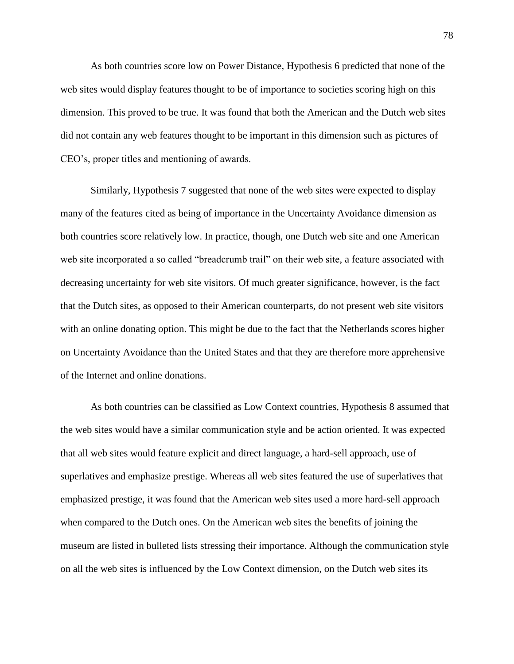As both countries score low on Power Distance, Hypothesis 6 predicted that none of the web sites would display features thought to be of importance to societies scoring high on this dimension. This proved to be true. It was found that both the American and the Dutch web sites did not contain any web features thought to be important in this dimension such as pictures of CEO's, proper titles and mentioning of awards.

Similarly, Hypothesis 7 suggested that none of the web sites were expected to display many of the features cited as being of importance in the Uncertainty Avoidance dimension as both countries score relatively low. In practice, though, one Dutch web site and one American web site incorporated a so called "breadcrumb trail" on their web site, a feature associated with decreasing uncertainty for web site visitors. Of much greater significance, however, is the fact that the Dutch sites, as opposed to their American counterparts, do not present web site visitors with an online donating option. This might be due to the fact that the Netherlands scores higher on Uncertainty Avoidance than the United States and that they are therefore more apprehensive of the Internet and online donations.

As both countries can be classified as Low Context countries, Hypothesis 8 assumed that the web sites would have a similar communication style and be action oriented. It was expected that all web sites would feature explicit and direct language, a hard-sell approach, use of superlatives and emphasize prestige. Whereas all web sites featured the use of superlatives that emphasized prestige, it was found that the American web sites used a more hard-sell approach when compared to the Dutch ones. On the American web sites the benefits of joining the museum are listed in bulleted lists stressing their importance. Although the communication style on all the web sites is influenced by the Low Context dimension, on the Dutch web sites its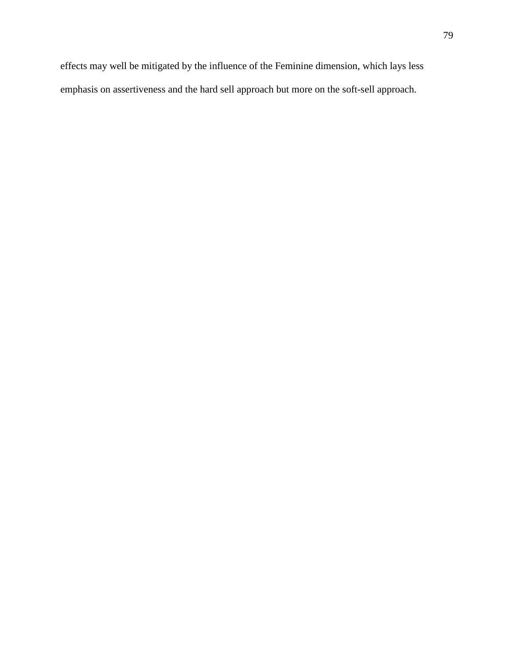effects may well be mitigated by the influence of the Feminine dimension, which lays less emphasis on assertiveness and the hard sell approach but more on the soft-sell approach.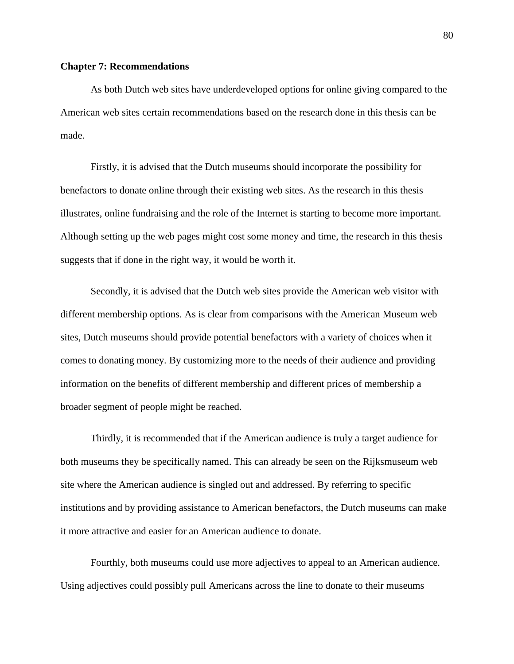# **Chapter 7: Recommendations**

As both Dutch web sites have underdeveloped options for online giving compared to the American web sites certain recommendations based on the research done in this thesis can be made.

Firstly, it is advised that the Dutch museums should incorporate the possibility for benefactors to donate online through their existing web sites. As the research in this thesis illustrates, online fundraising and the role of the Internet is starting to become more important. Although setting up the web pages might cost some money and time, the research in this thesis suggests that if done in the right way, it would be worth it.

Secondly, it is advised that the Dutch web sites provide the American web visitor with different membership options. As is clear from comparisons with the American Museum web sites, Dutch museums should provide potential benefactors with a variety of choices when it comes to donating money. By customizing more to the needs of their audience and providing information on the benefits of different membership and different prices of membership a broader segment of people might be reached.

Thirdly, it is recommended that if the American audience is truly a target audience for both museums they be specifically named. This can already be seen on the Rijksmuseum web site where the American audience is singled out and addressed. By referring to specific institutions and by providing assistance to American benefactors, the Dutch museums can make it more attractive and easier for an American audience to donate.

Fourthly, both museums could use more adjectives to appeal to an American audience. Using adjectives could possibly pull Americans across the line to donate to their museums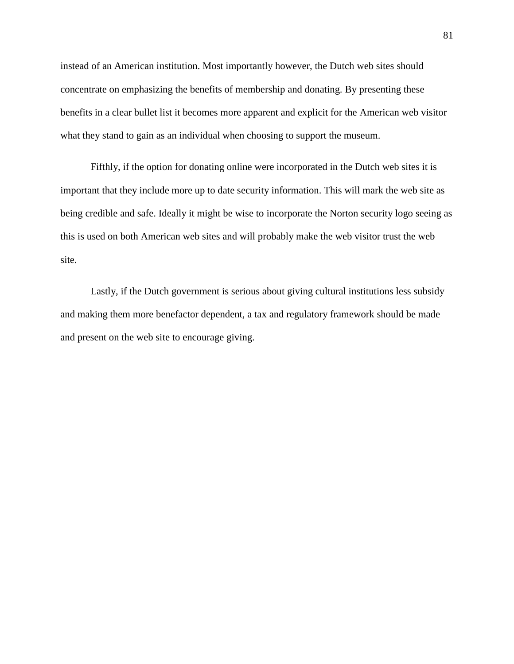instead of an American institution. Most importantly however, the Dutch web sites should concentrate on emphasizing the benefits of membership and donating. By presenting these benefits in a clear bullet list it becomes more apparent and explicit for the American web visitor what they stand to gain as an individual when choosing to support the museum.

Fifthly, if the option for donating online were incorporated in the Dutch web sites it is important that they include more up to date security information. This will mark the web site as being credible and safe. Ideally it might be wise to incorporate the Norton security logo seeing as this is used on both American web sites and will probably make the web visitor trust the web site.

Lastly, if the Dutch government is serious about giving cultural institutions less subsidy and making them more benefactor dependent, a tax and regulatory framework should be made and present on the web site to encourage giving.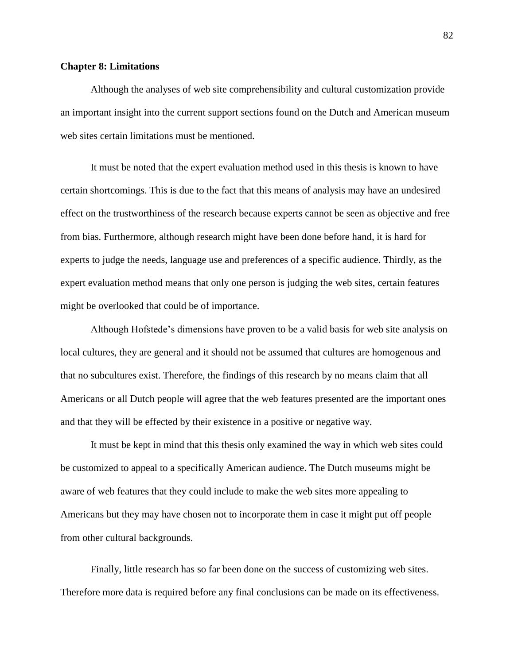# **Chapter 8: Limitations**

Although the analyses of web site comprehensibility and cultural customization provide an important insight into the current support sections found on the Dutch and American museum web sites certain limitations must be mentioned.

It must be noted that the expert evaluation method used in this thesis is known to have certain shortcomings. This is due to the fact that this means of analysis may have an undesired effect on the trustworthiness of the research because experts cannot be seen as objective and free from bias. Furthermore, although research might have been done before hand, it is hard for experts to judge the needs, language use and preferences of a specific audience. Thirdly, as the expert evaluation method means that only one person is judging the web sites, certain features might be overlooked that could be of importance.

Although Hofstede's dimensions have proven to be a valid basis for web site analysis on local cultures, they are general and it should not be assumed that cultures are homogenous and that no subcultures exist. Therefore, the findings of this research by no means claim that all Americans or all Dutch people will agree that the web features presented are the important ones and that they will be effected by their existence in a positive or negative way.

It must be kept in mind that this thesis only examined the way in which web sites could be customized to appeal to a specifically American audience. The Dutch museums might be aware of web features that they could include to make the web sites more appealing to Americans but they may have chosen not to incorporate them in case it might put off people from other cultural backgrounds.

Finally, little research has so far been done on the success of customizing web sites. Therefore more data is required before any final conclusions can be made on its effectiveness.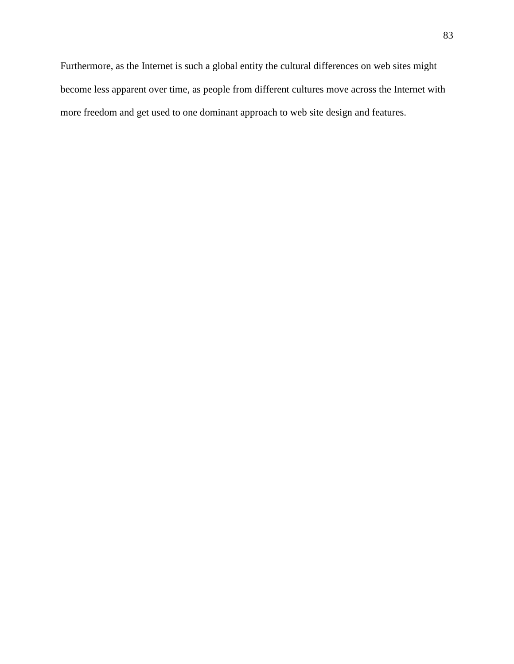Furthermore, as the Internet is such a global entity the cultural differences on web sites might become less apparent over time, as people from different cultures move across the Internet with more freedom and get used to one dominant approach to web site design and features.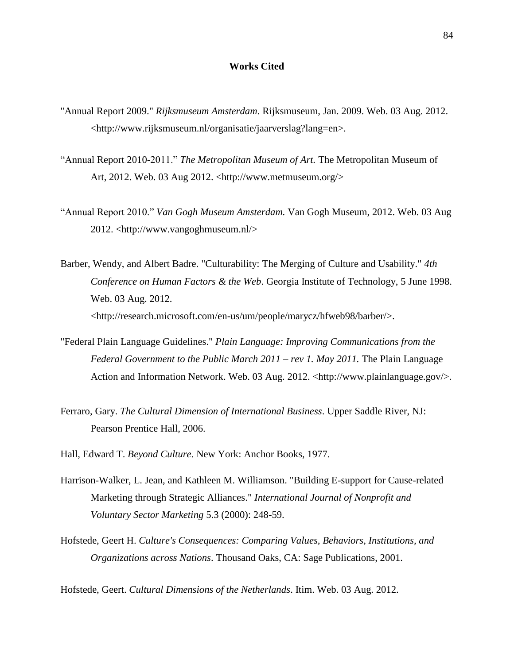#### **Works Cited**

- "Annual Report 2009." *Rijksmuseum Amsterdam*. Rijksmuseum, Jan. 2009. Web. 03 Aug. 2012. <http://www.rijksmuseum.nl/organisatie/jaarverslag?lang=en>.
- "Annual Report 2010-2011." *The Metropolitan Museum of Art.* The Metropolitan Museum of Art, 2012. Web. 03 Aug 2012. [<http://www.metmuseum.org/>](http://www.metmuseum.org/)
- "Annual Report 2010." *Van Gogh Museum Amsterdam.* Van Gogh Museum, 2012. Web. 03 Aug 2012. [<http://www.vangoghmuseum.nl/>](http://www.vangoghmuseum.nl/)
- Barber, Wendy, and Albert Badre. "Culturability: The Merging of Culture and Usability." *4th Conference on Human Factors & the Web*. Georgia Institute of Technology, 5 June 1998. Web. 03 Aug. 2012. <http://research.microsoft.com/en-us/um/people/marycz/hfweb98/barber/>.
- "Federal Plain Language Guidelines." *Plain Language: Improving Communications from the Federal Government to the Public March 2011 – rev 1. May 2011.* The Plain Language Action and Information Network. Web. 03 Aug. 2012. <http://www.plainlanguage.gov/>.
- Ferraro, Gary. *The Cultural Dimension of International Business*. Upper Saddle River, NJ: Pearson Prentice Hall, 2006.
- Hall, Edward T. *Beyond Culture*. New York: Anchor Books, 1977.
- Harrison-Walker, L. Jean, and Kathleen M. Williamson. "Building E-support for Cause-related Marketing through Strategic Alliances." *International Journal of Nonprofit and Voluntary Sector Marketing* 5.3 (2000): 248-59.
- Hofstede, Geert H. *Culture's Consequences: Comparing Values, Behaviors, Institutions, and Organizations across Nations*. Thousand Oaks, CA: Sage Publications, 2001.

Hofstede, Geert. *Cultural Dimensions of the Netherlands*. Itim. Web. 03 Aug. 2012.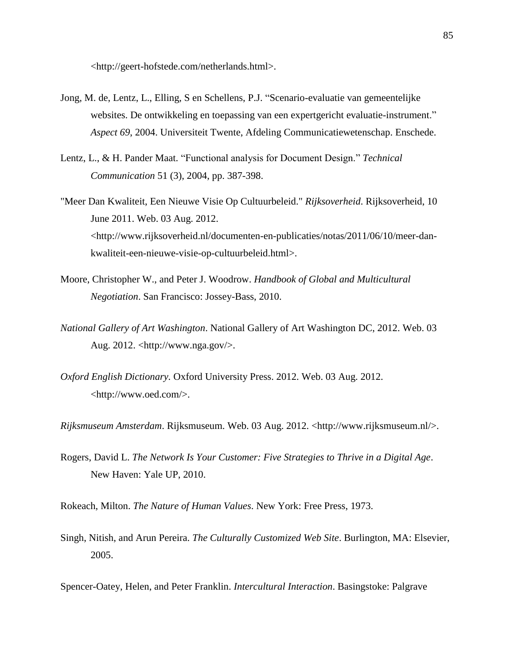<http://geert-hofstede.com/netherlands.html>.

- Jong, M. de, Lentz, L., Elling, S en Schellens, P.J. "Scenario-evaluatie van gemeentelijke websites. De ontwikkeling en toepassing van een expertgericht evaluatie-instrument." *Aspect 69*, 2004. Universiteit Twente, Afdeling Communicatiewetenschap. Enschede.
- Lentz, L., & H. Pander Maat. "Functional analysis for Document Design." *Technical Communication* 51 (3), 2004, pp. 387-398.
- "Meer Dan Kwaliteit, Een Nieuwe Visie Op Cultuurbeleid." *Rijksoverheid*. Rijksoverheid, 10 June 2011. Web. 03 Aug. 2012. <http://www.rijksoverheid.nl/documenten-en-publicaties/notas/2011/06/10/meer-dankwaliteit-een-nieuwe-visie-op-cultuurbeleid.html>.
- Moore, Christopher W., and Peter J. Woodrow. *Handbook of Global and Multicultural Negotiation*. San Francisco: Jossey-Bass, 2010.
- *National Gallery of Art Washington*. National Gallery of Art Washington DC, 2012. Web. 03 Aug. 2012. <http://www.nga.gov/>.
- *Oxford English Dictionary.* Oxford University Press. 2012. Web. 03 Aug. 2012. <http://www.oed.com/>.

*Rijksmuseum Amsterdam*. Rijksmuseum. Web. 03 Aug. 2012. <http://www.rijksmuseum.nl/>.

Rogers, David L. *The Network Is Your Customer: Five Strategies to Thrive in a Digital Age*. New Haven: Yale UP, 2010.

Rokeach, Milton. *The Nature of Human Values*. New York: Free Press, 1973.

Singh, Nitish, and Arun Pereira. *The Culturally Customized Web Site*. Burlington, MA: Elsevier, 2005.

Spencer-Oatey, Helen, and Peter Franklin. *Intercultural Interaction*. Basingstoke: Palgrave